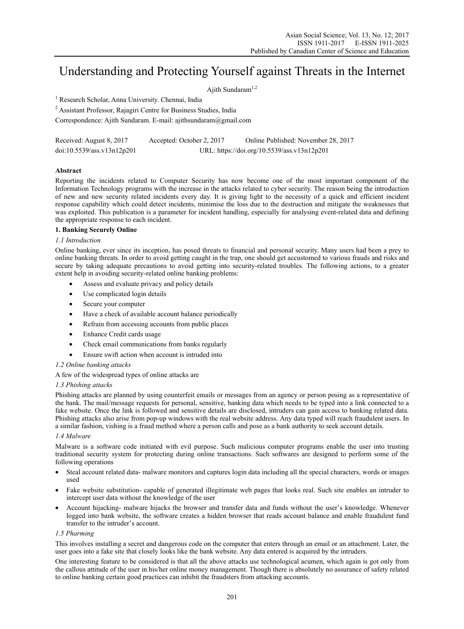# Understanding and Protecting Yourself against Threats in the Internet

Ajith Sundaram $1,2$ 

<sup>1</sup> Research Scholar, Anna University. Chennai, India

<sup>2</sup> Assistant Professor, Rajagiri Centre for Business Studies, India

Correspondence: Ajith Sundaram. E-mail: ajithsundaram@gmail.com

| Received: August 8, 2017   | Accepted: October 2, 2017                   | Online Published: November 28, 2017 |
|----------------------------|---------------------------------------------|-------------------------------------|
| doi:10.5539/ass.v13n12p201 | URL: https://doi.org/10.5539/ass.v13n12p201 |                                     |

# **Abstract**

Reporting the incidents related to Computer Security has now become one of the most important component of the Information Technology programs with the increase in the attacks related to cyber security. The reason being the introduction of new and new security related incidents every day. It is giving light to the necessity of a quick and efficient incident response capability which could detect incidents, minimise the loss due to the destruction and mitigate the weaknesses that was exploited. This publication is a parameter for incident handling, especially for analysing event-related data and defining the appropriate response to each incident.

# **1. Banking Securely Online**

# *1.1 Introduction*

Online banking, ever since its inception, has posed threats to financial and personal security. Many users had been a prey to online banking threats. In order to avoid getting caught in the trap, one should get accustomed to various frauds and risks and secure by taking adequate precautions to avoid getting into security-related troubles. The following actions, to a greater extent help in avoiding security-related online banking problems:

- Assess and evaluate privacy and policy details
- Use complicated login details
- Secure your computer
- Have a check of available account balance periodically
- Refrain from accessing accounts from public places
- Enhance Credit cards usage
- Check email communications from banks regularly
- Ensure swift action when account is intruded into

# *1.2 Online banking attacks*

A few of the widespread types of online attacks are

# *1.3 Phishing attacks*

Phishing attacks are planned by using counterfeit emails or messages from an agency or person posing as a representative of the bank. The mail/message requests for personal, sensitive, banking data which needs to be typed into a link connected to a fake website. Once the link is followed and sensitive details are disclosed, intruders can gain access to banking related data. Phishing attacks also arise from pop-up windows with the real website address. Any data typed will reach fraudulent users. In a similar fashion, vishing is a fraud method where a person calls and pose as a bank authority to seek account details.

# *1.4 Malware*

Malware is a software code initiated with evil purpose. Such malicious computer programs enable the user into trusting traditional security system for protecting during online transactions. Such softwares are designed to perform some of the following operations

- Steal account related data- malware monitors and captures login data including all the special characters, words or images used
- Fake website substitution- capable of generated illegitimate web pages that looks real. Such site enables an intruder to intercept user data without the knowledge of the user
- Account hijacking- malware hijacks the browser and transfer data and funds without the user's knowledge. Whenever logged into bank website, the software creates a hidden browser that reads account balance and enable fraudulent fund transfer to the intruder's account.

# *1.5 Pharming*

This involves installing a secret and dangerous code on the computer that enters through an email or an attachment. Later, the user goes into a fake site that closely looks like the bank website. Any data entered is acquired by the intruders.

One interesting feature to be considered is that all the above attacks use technological acumen, which again is got only from the callous attitude of the user in his/her online money management. Though there is absolutely no assurance of safety related to online banking certain good practices can inhibit the fraudsters from attacking accounts.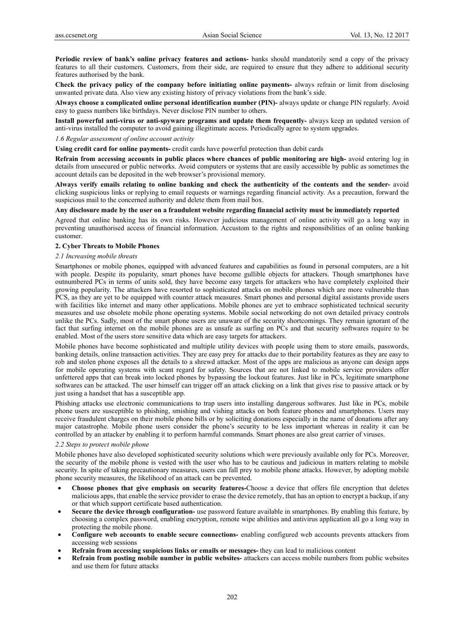**Periodic review of bank's online privacy features and actions-** banks should mandatorily send a copy of the privacy features to all their customers. Customers, from their side, are required to ensure that they adhere to additional security features authorised by the bank.

**Check the privacy policy of the company before initiating online payments-** always refrain or limit from disclosing unwanted private data. Also view any existing history of privacy violations from the bank's side.

**Always choose a complicated online personal identification number (PIN)-** always update or change PIN regularly. Avoid easy to guess numbers like birthdays. Never disclose PIN number to others.

**Install powerful anti-virus or anti-spyware programs and update them frequently-** always keep an updated version of anti-virus installed the computer to avoid gaining illegitimate access. Periodically agree to system upgrades.

# *1.6 Regular assessment of online account activity*

**Using credit card for online payments-** credit cards have powerful protection than debit cards

**Refrain from accessing accounts in public places where chances of public monitoring are high-** avoid entering log in details from unsecured or public networks. Avoid computers or systems that are easily accessible by public as sometimes the account details can be deposited in the web browser's provisional memory.

**Always verify emails relating to online banking and check the authenticity of the contents and the sender-** avoid clicking suspicious links or replying to email requests or warnings regarding financial activity. As a precaution, forward the suspicious mail to the concerned authority and delete them from mail box.

# **Any disclosure made by the user on a fraudulent website regarding financial activity must be immediately reported**

Agreed that online banking has its own risks. However judicious management of online activity will go a long way in preventing unauthorised access of financial information. Accustom to the rights and responsibilities of an online banking customer.

# **2. Cyber Threats to Mobile Phones**

## *2.1 Increasing mobile threats*

Smartphones or mobile phones, equipped with advanced features and capabilities as found in personal computers, are a hit with people. Despite its popularity, smart phones have become gullible objects for attackers. Though smartphones have outnumbered PCs in terms of units sold, they have become easy targets for attackers who have completely exploited their growing popularity. The attackers have resorted to sophisticated attacks on mobile phones which are more vulnerable than PCS, as they are yet to be equipped with counter attack measures. Smart phones and personal digital assistants provide users with facilities like internet and many other applications. Mobile phones are yet to embrace sophisticated technical security measures and use obsolete mobile phone operating systems. Mobile social networking do not own detailed privacy controls unlike the PCs. Sadly, most of the smart phone users are unaware of the security shortcomings. They remain ignorant of the fact that surfing internet on the mobile phones are as unsafe as surfing on PCs and that security softwares require to be enabled. Most of the users store sensitive data which are easy targets for attackers.

Mobile phones have become sophisticated and multiple utility devices with people using them to store emails, passwords, banking details, online transaction activities. They are easy prey for attacks due to their portability features as they are easy to rob and stolen phone exposes all the details to a shrewd attacker. Most of the apps are malicious as anyone can design apps for mobile operating systems with scant regard for safety. Sources that are not linked to mobile service providers offer unfettered apps that can break into locked phones by bypassing the lockout features. Just like in PCs, legitimate smartphone softwares can be attacked. The user himself can trigger off an attack clicking on a link that gives rise to passive attack or by just using a handset that has a susceptible app.

Phishing attacks use electronic communications to trap users into installing dangerous softwares. Just like in PCs, mobile phone users are susceptible to phishing, smishing and vishing attacks on both feature phones and smartphones. Users may receive fraudulent charges on their mobile phone bills or by soliciting donations especially in the name of donations after any major catastrophe. Mobile phone users consider the phone's security to be less important whereas in reality it can be controlled by an attacker by enabling it to perform harmful commands. Smart phones are also great carrier of viruses.

#### *2.2 Steps to protect mobile phone*

Mobile phones have also developed sophisticated security solutions which were previously available only for PCs. Moreover, the security of the mobile phone is vested with the user who has to be cautious and judicious in matters relating to mobile security. In spite of taking precautionary measures, users can fall prey to mobile phone attacks. However, by adopting mobile phone security measures, the likelihood of an attack can be prevented.

- **Choose phones that give emphasis on security features-**Choose a device that offers file encryption that deletes malicious apps, that enable the service provider to erase the device remotely, that has an option to encrypt a backup, if any or that which support certificate based authentication.
- **Secure the device through configuration-** use password feature available in smartphones. By enabling this feature, by choosing a complex password, enabling encryption, remote wipe abilities and antivirus application all go a long way in protecting the mobile phone.
- **Configure web accounts to enable secure connections-** enabling configured web accounts prevents attackers from accessing web sessions
- **Refrain from accessing suspicious links or emails or messages-** they can lead to malicious content
- **Refrain from posting mobile number in public websites-** attackers can access mobile numbers from public websites and use them for future attacks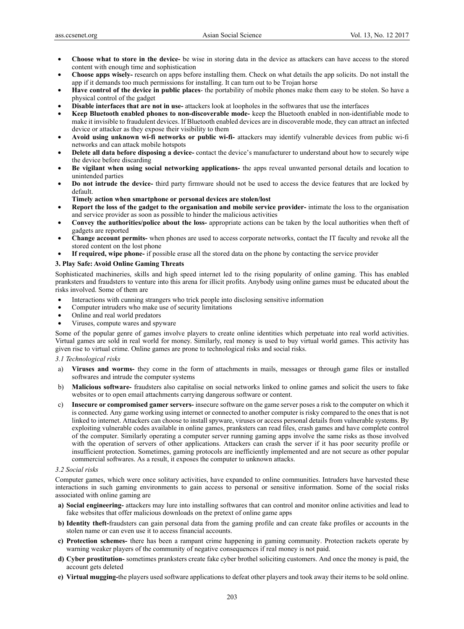- **Choose what to store in the device-** be wise in storing data in the device as attackers can have access to the stored content with enough time and sophistication
- **Choose apps wisely-** research on apps before installing them. Check on what details the app solicits. Do not install the app if it demands too much permissions for installing. It can turn out to be Trojan horse
- **Have control of the device in public places** the portability of mobile phones make them easy to be stolen. So have a physical control of the gadget
- **Disable interfaces that are not in use-** attackers look at loopholes in the softwares that use the interfaces
- **Keep Bluetooth enabled phones to non-discoverable mode-** keep the Bluetooth enabled in non-identifiable mode to make it invisible to fraudulent devices. If Bluetooth enabled devices are in discoverable mode, they can attract an infected device or attacker as they expose their visibility to them
- **Avoid using unknown wi-fi networks or public wi-fi-** attackers may identify vulnerable devices from public wi-fi networks and can attack mobile hotspots
- **Delete all data before disposing a device-** contact the device's manufacturer to understand about how to securely wipe the device before discarding
- **Be vigilant when using social networking applications-** the apps reveal unwanted personal details and location to unintended parties
- **Do not intrude the device-** third party firmware should not be used to access the device features that are locked by default.
	- **Timely action when smartphone or personal devices are stolen/lost**
- **Report the loss of the gadget to the organisation and mobile service provider-** intimate the loss to the organisation and service provider as soon as possible to hinder the malicious activities
- **Convey the authorities/police about the loss-** appropriate actions can be taken by the local authorities when theft of gadgets are reported
- **Change account permits-** when phones are used to access corporate networks, contact the IT faculty and revoke all the stored content on the lost phone
- **If required, wipe phone-** if possible erase all the stored data on the phone by contacting the service provider

#### **3. Play Safe: Avoid Online Gaming Threats**

Sophisticated machineries, skills and high speed internet led to the rising popularity of online gaming. This has enabled pranksters and fraudsters to venture into this arena for illicit profits. Anybody using online games must be educated about the risks involved. Some of them are

- Interactions with cunning strangers who trick people into disclosing sensitive information
- Computer intruders who make use of security limitations
- Online and real world predators
- Viruses, compute wares and spyware

Some of the popular genre of games involve players to create online identities which perpetuate into real world activities. Virtual games are sold in real world for money. Similarly, real money is used to buy virtual world games. This activity has given rise to virtual crime. Online games are prone to technological risks and social risks.

### *3.1 Technological risks*

- a) **Viruses and worms-** they come in the form of attachments in mails, messages or through game files or installed softwares and intrude the computer systems
- b) **Malicious software-** fraudsters also capitalise on social networks linked to online games and solicit the users to fake websites or to open email attachments carrying dangerous software or content.
- c) **Insecure or compromised gamer servers-** insecure software on the game server poses a risk to the computer on which it is connected. Any game working using internet or connected to another computer is risky compared to the ones that is not linked to internet. Attackers can choose to install spyware, viruses or access personal details from vulnerable systems. By exploiting vulnerable codes available in online games, pranksters can read files, crash games and have complete control of the computer. Similarly operating a computer server running gaming apps involve the same risks as those involved with the operation of servers of other applications. Attackers can crash the server if it has poor security profile or insufficient protection. Sometimes, gaming protocols are inefficiently implemented and are not secure as other popular commercial softwares. As a result, it exposes the computer to unknown attacks.

#### *3.2 Social risks*

Computer games, which were once solitary activities, have expanded to online communities. Intruders have harvested these interactions in such gaming environments to gain access to personal or sensitive information. Some of the social risks associated with online gaming are

- **a) Social engineering-** attackers may lure into installing softwares that can control and monitor online activities and lead to fake websites that offer malicious downloads on the pretext of online game apps
- **b) Identity theft-**fraudsters can gain personal data from the gaming profile and can create fake profiles or accounts in the stolen name or can even use it to access financial accounts.
- **c) Protection schemes-** there has been a rampant crime happening in gaming community. Protection rackets operate by warning weaker players of the community of negative consequences if real money is not paid.
- **d) Cyber prostitution-** sometimes pranksters create fake cyber brothel soliciting customers. And once the money is paid, the account gets deleted
- **e) Virtual mugging-**the players used software applications to defeat other players and took away their items to be sold online.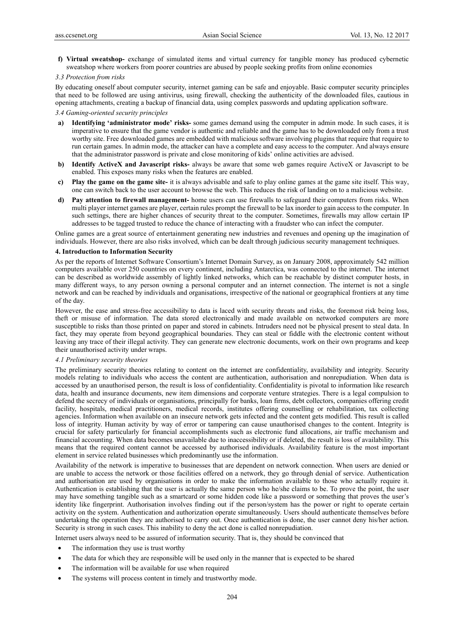**f) Virtual sweatshop-** exchange of simulated items and virtual currency for tangible money has produced cybernetic sweatshop where workers from poorer countries are abused by people seeking profits from online economies

### *3.3 Protection from risks*

By educating oneself about computer security, internet gaming can be safe and enjoyable. Basic computer security principles that need to be followed are using antivirus, using firewall, checking the authenticity of the downloaded files, cautious in opening attachments, creating a backup of financial data, using complex passwords and updating application software.

# *3.4 Gaming-oriented security principles*

- **a) Identifying 'administrator mode' risks-** some games demand using the computer in admin mode. In such cases, it is imperative to ensure that the game vendor is authentic and reliable and the game has to be downloaded only from a trust worthy site. Free downloaded games are embedded with malicious software involving plugins that require that require to run certain games. In admin mode, the attacker can have a complete and easy access to the computer. And always ensure that the administrator password is private and close monitoring of kids' online activities are advised.
- **b) Identify ActiveX and Javascript risks-** always be aware that some web games require ActiveX or Javascript to be enabled. This exposes many risks when the features are enabled.
- **c) Play the game on the game site-** it is always advisable and safe to play online games at the game site itself. This way, one can switch back to the user account to browse the web. This reduces the risk of landing on to a malicious website.
- **d) Pay attention to firewall management-** home users can use firewalls to safeguard their computers from risks. When multi player internet games are player, certain rules prompt the firewall to be lax inorder to gain access to the computer. In such settings, there are higher chances of security threat to the computer. Sometimes, firewalls may allow certain IP addresses to be tagged trusted to reduce the chance of interacting with a fraudster who can infect the computer.

Online games are a great source of entertainment generating new industries and revenues and opening up the imagination of individuals. However, there are also risks involved, which can be dealt through judicious security management techniques.

#### **4. Introduction to Information Security**

As per the reports of Internet Software Consortium's Internet Domain Survey, as on January 2008, approximately 542 million computers available over 250 countries on every continent, including Antarctica, was connected to the internet. The internet can be described as worldwide assembly of lightly linked networks, which can be reachable by distinct computer hosts, in many different ways, to any person owning a personal computer and an internet connection. The internet is not a single network and can be reached by individuals and organisations, irrespective of the national or geographical frontiers at any time of the day.

However, the ease and stress-free accessibility to data is laced with security threats and risks, the foremost risk being loss, theft or misuse of information. The data stored electronically and made available on networked computers are more susceptible to risks than those printed on paper and stored in cabinets. Intruders need not be physical present to steal data. In fact, they may operate from beyond geographical boundaries. They can steal or fiddle with the electronic content without leaving any trace of their illegal activity. They can generate new electronic documents, work on their own programs and keep their unauthorised activity under wraps.

# *4.1 Preliminary security theories*

The preliminary security theories relating to content on the internet are confidentiality, availability and integrity. Security models relating to individuals who access the content are authentication, authorisation and nonrepudiation. When data is accessed by an unauthorised person, the result is loss of confidentiality. Confidentiality is pivotal to information like research data, health and insurance documents, new item dimensions and corporate venture strategies. There is a legal compulsion to defend the secrecy of individuals or organisations, principally for banks, loan firms, debt collectors, companies offering credit facility, hospitals, medical practitioners, medical records, institutes offering counselling or rehabilitation, tax collecting agencies. Information when available on an insecure network gets infected and the content gets modified. This result is called loss of integrity. Human activity by way of error or tampering can cause unauthorised changes to the content. Integrity is crucial for safety particularly for financial accomplishments such as electronic fund allocations, air traffic mechanism and financial accounting. When data becomes unavailable due to inaccessibility or if deleted, the result is loss of availability. This means that the required content cannot be accessed by authorised individuals. Availability feature is the most important element in service related businesses which predominantly use the information.

Availability of the network is imperative to businesses that are dependent on network connection. When users are denied or are unable to access the network or those facilities offered on a network, they go through denial of service. Authentication and authorisation are used by organisations in order to make the information available to those who actually require it. Authentication is establishing that the user is actually the same person who he/she claims to be. To prove the point, the user may have something tangible such as a smartcard or some hidden code like a password or something that proves the user's identity like fingerprint. Authorisation involves finding out if the person/system has the power or right to operate certain activity on the system. Authentication and authorization operate simultaneously. Users should authenticate themselves before undertaking the operation they are authorised to carry out. Once authentication is done, the user cannot deny his/her action. Security is strong in such cases. This inability to deny the act done is called nonrepudiation.

Internet users always need to be assured of information security. That is, they should be convinced that

- The information they use is trust worthy
- The data for which they are responsible will be used only in the manner that is expected to be shared
- The information will be available for use when required
- The systems will process content in timely and trustworthy mode.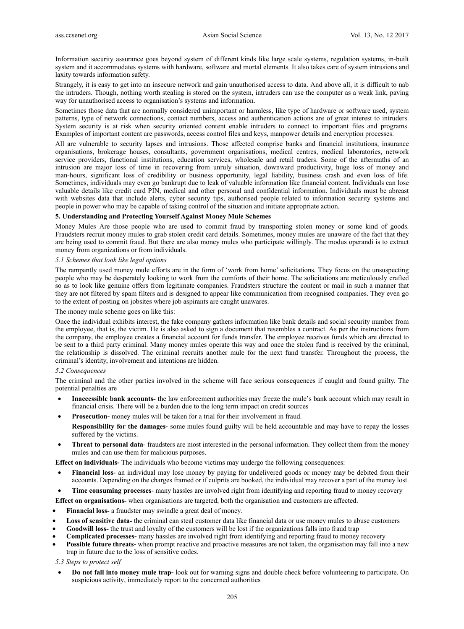Information security assurance goes beyond system of different kinds like large scale systems, regulation systems, in-built system and it accommodates systems with hardware, software and mortal elements. It also takes care of system intrusions and laxity towards information safety.

Strangely, it is easy to get into an insecure network and gain unauthorised access to data. And above all, it is difficult to nab the intruders. Though, nothing worth stealing is stored on the system, intruders can use the computer as a weak link, paving way for unauthorised access to organisation's systems and information.

Sometimes those data that are normally considered unimportant or harmless, like type of hardware or software used, system patterns, type of network connections, contact numbers, access and authentication actions are of great interest to intruders. System security is at risk when security oriented content enable intruders to connect to important files and programs. Examples of important content are passwords, access control files and keys, manpower details and encryption processes.

All are vulnerable to security lapses and intrusions. Those affected comprise banks and financial institutions, insurance organisations, brokerage houses, consultants, government organisations, medical centres, medical laboratories, network service providers, functional institutions, education services, wholesale and retail traders. Some of the aftermaths of an intrusion are major loss of time in recovering from unruly situation, downward productivity, huge loss of money and man-hours, significant loss of credibility or business opportunity, legal liability, business crash and even loss of life. Sometimes, individuals may even go bankrupt due to leak of valuable information like financial content. Individuals can lose valuable details like credit card PIN, medical and other personal and confidential information. Individuals must be abreast with websites data that include alerts, cyber security tips, authorised people related to information security systems and people in power who may be capable of taking control of the situation and initiate appropriate action.

## **5. Understanding and Protecting Yourself Against Money Mule Schemes**

Money Mules Are those people who are used to commit fraud by transporting stolen money or some kind of goods. Fraudsters recruit money mules to grab stolen credit card details. Sometimes, money mules are unaware of the fact that they are being used to commit fraud. But there are also money mules who participate willingly. The modus operandi is to extract money from organizations or from individuals.

# *5.1 Schemes that look like legal options*

The rampantly used money mule efforts are in the form of 'work from home' solicitations. They focus on the unsuspecting people who may be desperately looking to work from the comforts of their home. The solicitations are meticulously crafted so as to look like genuine offers from legitimate companies. Fraudsters structure the content or mail in such a manner that they are not filtered by spam filters and is designed to appear like communication from recognised companies. They even go to the extent of posting on jobsites where job aspirants are caught unawares.

#### The money mule scheme goes on like this:

Once the individual exhibits interest, the fake company gathers information like bank details and social security number from the employee, that is, the victim. He is also asked to sign a document that resembles a contract. As per the instructions from the company, the employee creates a financial account for funds transfer. The employee receives funds which are directed to be sent to a third party criminal. Many money mules operate this way and once the stolen fund is received by the criminal, the relationship is dissolved. The criminal recruits another mule for the next fund transfer. Throughout the process, the criminal's identity, involvement and intentions are hidden.

#### *5.2 Consequences*

The criminal and the other parties involved in the scheme will face serious consequences if caught and found guilty. The potential penalties are

- **Inaccessible bank accounts-** the law enforcement authorities may freeze the mule's bank account which may result in financial crisis. There will be a burden due to the long term impact on credit sources
- **Prosecution-** money mules will be taken for a trial for their involvement in fraud.
- **Responsibility for the damages-** some mules found guilty will be held accountable and may have to repay the losses suffered by the victims.
- **Threat to personal data** fraudsters are most interested in the personal information. They collect them from the money mules and can use them for malicious purposes.

**Effect on individuals-** The individuals who become victims may undergo the following consequences:

- **Financial loss** an individual may lose money by paying for undelivered goods or money may be debited from their accounts. Depending on the charges framed or if culprits are booked, the individual may recover a part of the money lost.
- **Time consuming processes** many hassles are involved right from identifying and reporting fraud to money recovery

**Effect on organisations-** when organisations are targeted, both the organisation and customers are affected.

- **Financial loss-** a fraudster may swindle a great deal of money.
- **Loss of sensitive data-** the criminal can steal customer data like financial data or use money mules to abuse customers
- **Goodwill loss-** the trust and loyalty of the customers will be lost if the organizations falls into fraud trap
- **Complicated processes-** many hassles are involved right from identifying and reporting fraud to money recovery
- **Possible future threats-** when prompt reactive and proactive measures are not taken, the organisation may fall into a new trap in future due to the loss of sensitive codes.

*5.3 Steps to protect self* 

 **Do not fall into money mule trap-** look out for warning signs and double check before volunteering to participate. On suspicious activity, immediately report to the concerned authorities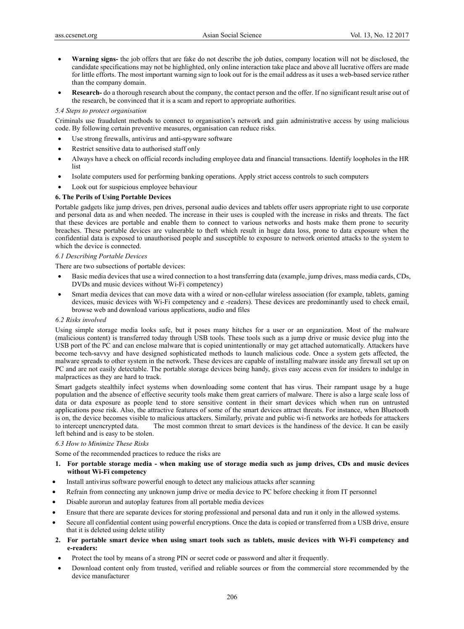- **Warning signs-** the job offers that are fake do not describe the job duties, company location will not be disclosed, the candidate specifications may not be highlighted, only online interaction take place and above all lucrative offers are made for little efforts. The most important warning sign to look out for is the email address as it uses a web-based service rather than the company domain.
- **Research-** do a thorough research about the company, the contact person and the offer. If no significant result arise out of the research, be convinced that it is a scam and report to appropriate authorities.

#### *5.4 Steps to protect organisation*

Criminals use fraudulent methods to connect to organisation's network and gain administrative access by using malicious code. By following certain preventive measures, organisation can reduce risks.

- Use strong firewalls, antivirus and anti-spyware software
- Restrict sensitive data to authorised staff only
- Always have a check on official records including employee data and financial transactions. Identify loopholes in the HR list
- Isolate computers used for performing banking operations. Apply strict access controls to such computers
- Look out for suspicious employee behaviour

## **6. The Perils of Using Portable Devices**

Portable gadgets like jump drives, pen drives, personal audio devices and tablets offer users appropriate right to use corporate and personal data as and when needed. The increase in their uses is coupled with the increase in risks and threats. The fact that these devices are portable and enable them to connect to various networks and hosts make them prone to security breaches. These portable devices are vulnerable to theft which result in huge data loss, prone to data exposure when the confidential data is exposed to unauthorised people and susceptible to exposure to network oriented attacks to the system to which the device is connected.

## *6.1 Describing Portable Devices*

There are two subsections of portable devices:

- Basic media devices that use a wired connection to a host transferring data (example, jump drives, mass media cards, CDs, DVDs and music devices without Wi-Fi competency)
- Smart media devices that can move data with a wired or non-cellular wireless association (for example, tablets, gaming devices, music devices with Wi-Fi competency and e-readers). These devices are predominantly used to check email, browse web and download various applications, audio and files

#### *6.2 Risks involved*

Using simple storage media looks safe, but it poses many hitches for a user or an organization. Most of the malware (malicious content) is transferred today through USB tools. These tools such as a jump drive or music device plug into the USB port of the PC and can enclose malware that is copied unintentionally or may get attached automatically. Attackers have become tech-savvy and have designed sophisticated methods to launch malicious code. Once a system gets affected, the malware spreads to other system in the network. These devices are capable of installing malware inside any firewall set up on PC and are not easily detectable. The portable storage devices being handy, gives easy access even for insiders to indulge in malpractices as they are hard to track.

Smart gadgets stealthily infect systems when downloading some content that has virus. Their rampant usage by a huge population and the absence of effective security tools make them great carriers of malware. There is also a large scale loss of data or data exposure as people tend to store sensitive content in their smart devices which when run on untrusted applications pose risk. Also, the attractive features of some of the smart devices attract threats. For instance, when Bluetooth is on, the device becomes visible to malicious attackers. Similarly, private and public wi-fi networks are hotbeds for attackers to intercept unencrypted data. The most common threat to smart devices is the handiness of the device. It can be easily left behind and is easy to be stolen.

#### *6.3 How to Minimize These Risks*

Some of the recommended practices to reduce the risks are

# **1. For portable storage media - when making use of storage media such as jump drives, CDs and music devices without Wi-Fi competency**

- Install antivirus software powerful enough to detect any malicious attacks after scanning
- Refrain from connecting any unknown jump drive or media device to PC before checking it from IT personnel
- Disable aurorun and autoplay features from all portable media devices
- Ensure that there are separate devices for storing professional and personal data and run it only in the allowed systems.
- Secure all confidential content using powerful encryptions. Once the data is copied or transferred from a USB drive, ensure that it is deleted using delete utility
- **2. For portable smart device when using smart tools such as tablets, music devices with Wi-Fi competency and e-readers:**
- Protect the tool by means of a strong PIN or secret code or password and alter it frequently.
- Download content only from trusted, verified and reliable sources or from the commercial store recommended by the device manufacturer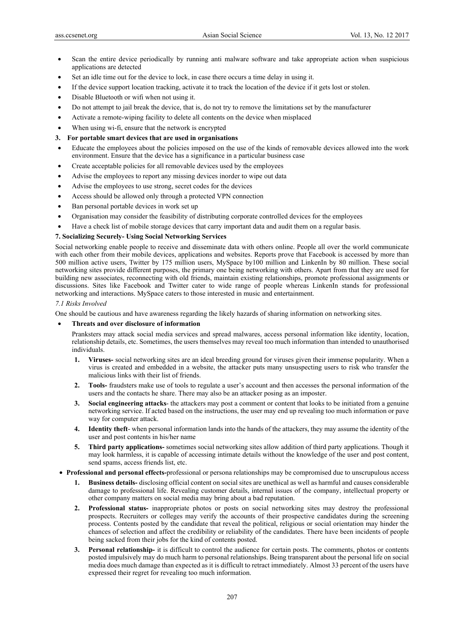- Scan the entire device periodically by running anti malware software and take appropriate action when suspicious applications are detected
- Set an idle time out for the device to lock, in case there occurs a time delay in using it.
- If the device support location tracking, activate it to track the location of the device if it gets lost or stolen.
- Disable Bluetooth or wifi when not using it.
- Do not attempt to jail break the device, that is, do not try to remove the limitations set by the manufacturer
- Activate a remote-wiping facility to delete all contents on the device when misplaced
- When using wi-fi, ensure that the network is encrypted
- **3. For portable smart devices that are used in organisations**
- Educate the employees about the policies imposed on the use of the kinds of removable devices allowed into the work environment. Ensure that the device has a significance in a particular business case
- Create acceptable policies for all removable devices used by the employees
- Advise the employees to report any missing devices inorder to wipe out data
- Advise the employees to use strong, secret codes for the devices
- Access should be allowed only through a protected VPN connection
- Ban personal portable devices in work set up
- Organisation may consider the feasibility of distributing corporate controlled devices for the employees
- Have a check list of mobile storage devices that carry important data and audit them on a regular basis.

# **7. Socializing Securely- Using Social Networking Services**

Social networking enable people to receive and disseminate data with others online. People all over the world communicate with each other from their mobile devices, applications and websites. Reports prove that Facebook is accessed by more than 500 million active users, Twitter by 175 million users, MySpace by100 million and LinkenIn by 80 million. These social networking sites provide different purposes, the primary one being networking with others. Apart from that they are used for building new associates, reconnecting with old friends, maintain existing relationships, promote professional assignments or discussions. Sites like Facebook and Twitter cater to wide range of people whereas LinkenIn stands for professional networking and interactions. MySpace caters to those interested in music and entertainment.

## *7.1 Risks Involved*

One should be cautious and have awareness regarding the likely hazards of sharing information on networking sites.

#### **Threats and over disclosure of information**

Pranksters may attack social media services and spread malwares, access personal information like identity, location, relationship details, etc. Sometimes, the users themselves may reveal too much information than intended to unauthorised individuals.

- **1. Viruses-** social networking sites are an ideal breeding ground for viruses given their immense popularity. When a virus is created and embedded in a website, the attacker puts many unsuspecting users to risk who transfer the malicious links with their list of friends.
- **2. Tools-** fraudsters make use of tools to regulate a user's account and then accesses the personal information of the users and the contacts he share. There may also be an attacker posing as an imposter.
- **3. Social engineering attacks** the attackers may post a comment or content that looks to be initiated from a genuine networking service. If acted based on the instructions, the user may end up revealing too much information or pave way for computer attack.
- **4. Identity theft** when personal information lands into the hands of the attackers, they may assume the identity of the user and post contents in his/her name
- **5. Third party applications-** sometimes social networking sites allow addition of third party applications. Though it may look harmless, it is capable of accessing intimate details without the knowledge of the user and post content, send spams, access friends list, etc.
- **Professional and personal effects-**professional or persona relationships may be compromised due to unscrupulous access
	- **1. Business details-** disclosing official content on social sites are unethical as well as harmful and causes considerable damage to professional life. Revealing customer details, internal issues of the company, intellectual property or other company matters on social media may bring about a bad reputation.
	- **2. Professional status-** inappropriate photos or posts on social networking sites may destroy the professional prospects. Recruiters or colleges may verify the accounts of their prospective candidates during the screening process. Contents posted by the candidate that reveal the political, religious or social orientation may hinder the chances of selection and affect the credibility or reliability of the candidates. There have been incidents of people being sacked from their jobs for the kind of contents posted.
	- **3. Personal relationship-** it is difficult to control the audience for certain posts. The comments, photos or contents posted impulsively may do much harm to personal relationships. Being transparent about the personal life on social media does much damage than expected as it is difficult to retract immediately. Almost 33 percent of the users have expressed their regret for revealing too much information.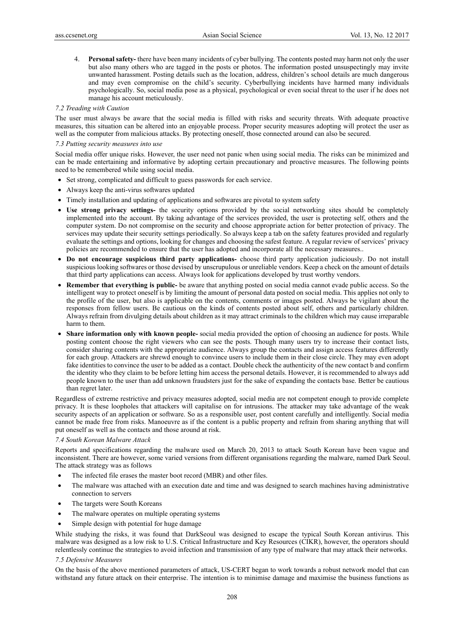4. **Personal safety-** there have been many incidents of cyber bullying. The contents posted may harm not only the user but also many others who are tagged in the posts or photos. The information posted unsuspectingly may invite unwanted harassment. Posting details such as the location, address, children's school details are much dangerous and may even compromise on the child's security. Cyberbullying incidents have harmed many individuals psychologically. So, social media pose as a physical, psychological or even social threat to the user if he does not manage his account meticulously.

# *7.2 Treading with Caution*

The user must always be aware that the social media is filled with risks and security threats. With adequate proactive measures, this situation can be altered into an enjoyable process. Proper security measures adopting will protect the user as well as the computer from malicious attacks. By protecting oneself, those connected around can also be secured.

#### *7.3 Putting security measures into use*

Social media offer unique risks. However, the user need not panic when using social media. The risks can be minimized and can be made entertaining and informative by adopting certain precautionary and proactive measures. The following points need to be remembered while using social media.

- Set strong, complicated and difficult to guess passwords for each service.
- Always keep the anti-virus softwares updated
- Timely installation and updating of applications and softwares are pivotal to system safety
- **Use strong privacy settings-** the security options provided by the social networking sites should be completely implemented into the account. By taking advantage of the services provided, the user is protecting self, others and the computer system. Do not compromise on the security and choose appropriate action for better protection of privacy. The services may update their security settings periodically. So always keep a tab on the safety features provided and regularly evaluate the settings and options, looking for changes and choosing the safest feature. A regular review of services' privacy policies are recommended to ensure that the user has adopted and incorporate all the necessary measures..
- **Do not encourage suspicious third party applications-** choose third party application judiciously. Do not install suspicious looking softwares or those devised by unscrupulous or unreliable vendors. Keep a check on the amount of details that third party applications can access. Always look for applications developed by trust worthy vendors.
- **Remember that everything is public-** be aware that anything posted on social media cannot evade public access. So the intelligent way to protect oneself is by limiting the amount of personal data posted on social media. This applies not only to the profile of the user, but also is applicable on the contents, comments or images posted. Always be vigilant about the responses from fellow users. Be cautious on the kinds of contents posted about self, others and particularly children. Always refrain from divulging details about children as it may attract criminals to the children which may cause irreparable harm to them.
- **Share information only with known people-** social media provided the option of choosing an audience for posts. While posting content choose the right viewers who can see the posts. Though many users try to increase their contact lists, consider sharing contents with the appropriate audience. Always group the contacts and assign access features differently for each group. Attackers are shrewd enough to convince users to include them in their close circle. They may even adopt fake identities to convince the user to be added as a contact. Double check the authenticity of the new contact b and confirm the identity who they claim to be before letting him access the personal details. However, it is recommended to always add people known to the user than add unknown fraudsters just for the sake of expanding the contacts base. Better be cautious than regret later.

Regardless of extreme restrictive and privacy measures adopted, social media are not competent enough to provide complete privacy. It is these loopholes that attackers will capitalise on for intrusions. The attacker may take advantage of the weak security aspects of an application or software. So as a responsible user, post content carefully and intelligently. Social media cannot be made free from risks. Manoeuvre as if the content is a public property and refrain from sharing anything that will put oneself as well as the contacts and those around at risk.

#### *7.4 South Korean Malware Attack*

Reports and specifications regarding the malware used on March 20, 2013 to attack South Korean have been vague and inconsistent. There are however, some varied versions from different organisations regarding the malware, named Dark Seoul. The attack strategy was as follows

- The infected file erases the master boot record (MBR) and other files.
- The malware was attached with an execution date and time and was designed to search machines having administrative connection to servers
- The targets were South Koreans
- The malware operates on multiple operating systems
- Simple design with potential for huge damage

While studying the risks, it was found that DarkSeoul was designed to escape the typical South Korean antivirus. This malware was designed as a low risk to U.S. Critical Infrastructure and Key Resources (CIKR), however, the operators should relentlessly continue the strategies to avoid infection and transmission of any type of malware that may attack their networks.

# *7.5 Defensive Measures*

On the basis of the above mentioned parameters of attack, US-CERT began to work towards a robust network model that can withstand any future attack on their enterprise. The intention is to minimise damage and maximise the business functions as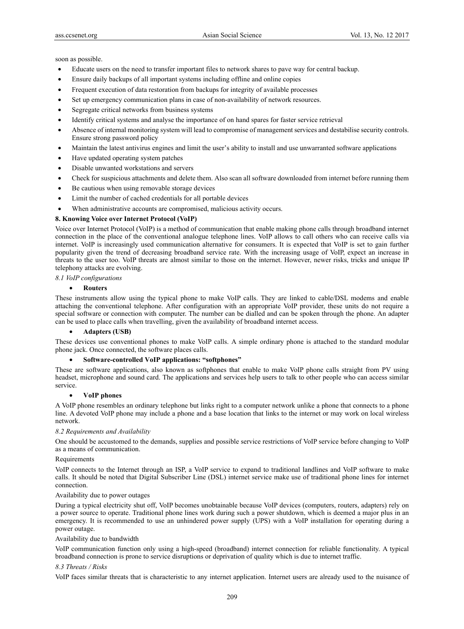soon as possible.

- Educate users on the need to transfer important files to network shares to pave way for central backup.
- Ensure daily backups of all important systems including offline and online copies
- Frequent execution of data restoration from backups for integrity of available processes
- Set up emergency communication plans in case of non-availability of network resources.
- Segregate critical networks from business systems
- Identify critical systems and analyse the importance of on hand spares for faster service retrieval
- Absence of internal monitoring system will lead to compromise of management services and destabilise security controls. Ensure strong password policy
- Maintain the latest antivirus engines and limit the user's ability to install and use unwarranted software applications
- Have updated operating system patches
- Disable unwanted workstations and servers
- Check for suspicious attachments and delete them. Also scan all software downloaded from internet before running them
- Be cautious when using removable storage devices
- Limit the number of cached credentials for all portable devices
- When administrative accounts are compromised, malicious activity occurs.

# **8. Knowing Voice over Internet Protocol (VoIP)**

Voice over Internet Protocol (VoIP) is a method of communication that enable making phone calls through broadband internet connection in the place of the conventional analogue telephone lines. VoIP allows to call others who can receive calls via internet. VoIP is increasingly used communication alternative for consumers. It is expected that VoIP is set to gain further popularity given the trend of decreasing broadband service rate. With the increasing usage of VoIP, expect an increase in threats to the user too. VoIP threats are almost similar to those on the internet. However, newer risks, tricks and unique IP telephony attacks are evolving.

# *8.1 VoIP configurations*

# **Routers**

These instruments allow using the typical phone to make VoIP calls. They are linked to cable/DSL modems and enable attaching the conventional telephone. After configuration with an appropriate VoIP provider, these units do not require a special software or connection with computer. The number can be dialled and can be spoken through the phone. An adapter can be used to place calls when travelling, given the availability of broadband internet access.

# **Adapters (USB)**

These devices use conventional phones to make VoIP calls. A simple ordinary phone is attached to the standard modular phone jack. Once connected, the software places calls.

# **Software-controlled VoIP applications: "softphones"**

These are software applications, also known as softphones that enable to make VoIP phone calls straight from PV using headset, microphone and sound card. The applications and services help users to talk to other people who can access similar service.

# **VoIP phones**

A VoIP phone resembles an ordinary telephone but links right to a computer network unlike a phone that connects to a phone line. A devoted VoIP phone may include a phone and a base location that links to the internet or may work on local wireless network.

# *8.2 Requirements and Availability*

One should be accustomed to the demands, supplies and possible service restrictions of VoIP service before changing to VoIP as a means of communication.

#### Requirements

VoIP connects to the Internet through an ISP, a VoIP service to expand to traditional landlines and VoIP software to make calls. It should be noted that Digital Subscriber Line (DSL) internet service make use of traditional phone lines for internet connection.

# Availability due to power outages

During a typical electricity shut off, VoIP becomes unobtainable because VoIP devices (computers, routers, adapters) rely on a power source to operate. Traditional phone lines work during such a power shutdown, which is deemed a major plus in an emergency. It is recommended to use an unhindered power supply (UPS) with a VoIP installation for operating during a power outage.

# Availability due to bandwidth

VoIP communication function only using a high-speed (broadband) internet connection for reliable functionality. A typical broadband connection is prone to service disruptions or deprivation of quality which is due to internet traffic.

# *8.3 Threats / Risks*

VoIP faces similar threats that is characteristic to any internet application. Internet users are already used to the nuisance of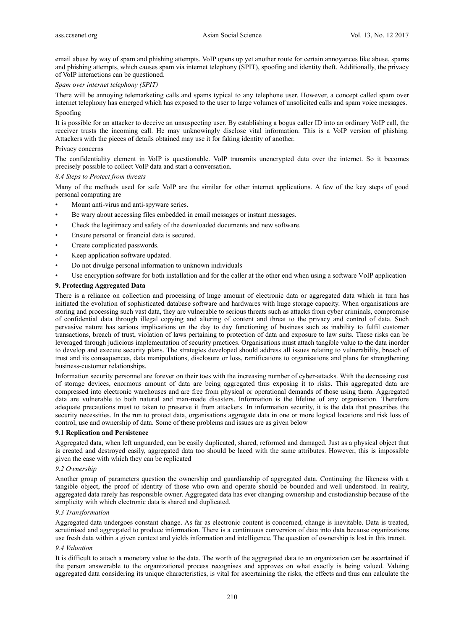email abuse by way of spam and phishing attempts. VoIP opens up yet another route for certain annoyances like abuse, spams and phishing attempts, which causes spam via internet telephony (SPIT), spoofing and identity theft. Additionally, the privacy of VoIP interactions can be questioned.

#### *Spam over internet telephony (SPIT)*

There will be annoying telemarketing calls and spams typical to any telephone user. However, a concept called spam over internet telephony has emerged which has exposed to the user to large volumes of unsolicited calls and spam voice messages. Spoofing

It is possible for an attacker to deceive an unsuspecting user. By establishing a bogus caller ID into an ordinary VoIP call, the receiver trusts the incoming call. He may unknowingly disclose vital information. This is a VoIP version of phishing. Attackers with the pieces of details obtained may use it for faking identity of another.

#### Privacy concerns

The confidentiality element in VoIP is questionable. VoIP transmits unencrypted data over the internet. So it becomes precisely possible to collect VoIP data and start a conversation.

## *8.4 Steps to Protect from threats*

Many of the methods used for safe VoIP are the similar for other internet applications. A few of the key steps of good personal computing are

- Mount anti-virus and anti-spyware series.
- Be wary about accessing files embedded in email messages or instant messages.
- Check the legitimacy and safety of the downloaded documents and new software.
- Ensure personal or financial data is secured.
- Create complicated passwords.
- Keep application software updated.
- Do not divulge personal information to unknown individuals
- Use encryption software for both installation and for the caller at the other end when using a software VoIP application

#### **9. Protecting Aggregated Data**

There is a reliance on collection and processing of huge amount of electronic data or aggregated data which in turn has initiated the evolution of sophisticated database software and hardwares with huge storage capacity. When organisations are storing and processing such vast data, they are vulnerable to serious threats such as attacks from cyber criminals, compromise of confidential data through illegal copying and altering of content and threat to the privacy and control of data. Such pervasive nature has serious implications on the day to day functioning of business such as inability to fulfil customer transactions, breach of trust, violation of laws pertaining to protection of data and exposure to law suits. These risks can be leveraged through judicious implementation of security practices. Organisations must attach tangible value to the data inorder to develop and execute security plans. The strategies developed should address all issues relating to vulnerability, breach of trust and its consequences, data manipulations, disclosure or loss, ramifications to organisations and plans for strengthening business-customer relationships.

Information security personnel are forever on their toes with the increasing number of cyber-attacks. With the decreasing cost of storage devices, enormous amount of data are being aggregated thus exposing it to risks. This aggregated data are compressed into electronic warehouses and are free from physical or operational demands of those using them. Aggregated data are vulnerable to both natural and man-made disasters. Information is the lifeline of any organisation. Therefore adequate precautions must to taken to preserve it from attackers. In information security, it is the data that prescribes the security necessities. In the run to protect data, organisations aggregate data in one or more logical locations and risk loss of control, use and ownership of data. Some of these problems and issues are as given below

#### **9.1 Replication and Persistence**

Aggregated data, when left unguarded, can be easily duplicated, shared, reformed and damaged. Just as a physical object that is created and destroyed easily, aggregated data too should be laced with the same attributes. However, this is impossible given the ease with which they can be replicated

#### *9.2 Ownership*

Another group of parameters question the ownership and guardianship of aggregated data. Continuing the likeness with a tangible object, the proof of identity of those who own and operate should be bounded and well understood. In reality, aggregated data rarely has responsible owner. Aggregated data has ever changing ownership and custodianship because of the simplicity with which electronic data is shared and duplicated.

#### *9.3 Transformation*

Aggregated data undergoes constant change. As far as electronic content is concerned, change is inevitable. Data is treated, scrutinised and aggregated to produce information. There is a continuous conversion of data into data because organizations use fresh data within a given context and yields information and intelligence. The question of ownership is lost in this transit.

# *9.4 Valuation*

It is difficult to attach a monetary value to the data. The worth of the aggregated data to an organization can be ascertained if the person answerable to the organizational process recognises and approves on what exactly is being valued. Valuing aggregated data considering its unique characteristics, is vital for ascertaining the risks, the effects and thus can calculate the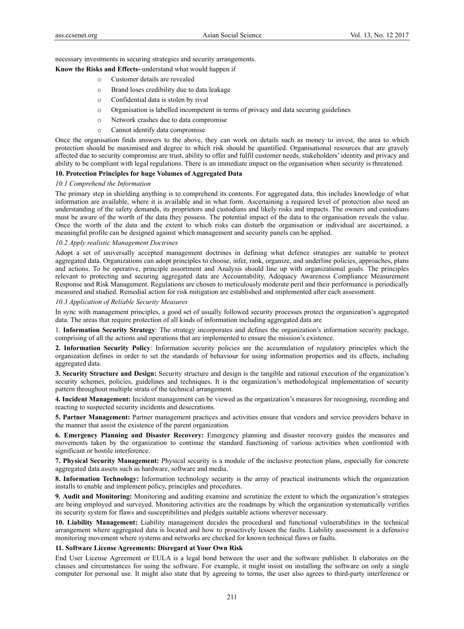necessary investments in securing strategies and security arrangements.

**Know the Risks and Effects-** understand what would happen if

- o Customer details are revealed
- o Brand loses credibility due to data leakage
- o Confidential data is stolen by rival
- o Organisation is labelled incompetent in terms of privacy and data securing guidelines
- o Network crashes due to data compromise
- o Cannot identify data compromise

Once the organisation finds answers to the above, they can work on details such as money to invest, the area to which protection should be maximised and degree to which risk should be quantified. Organisational resources that are gravely affected due to security compromise are trust, ability to offer and fulfil customer needs, stakeholders' identity and privacy and ability to be compliant with legal regulations. There is an immediate impact on the organisation when security is threatened.

# **10. Protection Principles for huge Volumes of Aggregated Data**

# *10.1 Comprehend the Information*

The primary step in shielding anything is to comprehend its contents. For aggregated data, this includes knowledge of what information are available, where it is available and in what form. Ascertaining a required level of protection also need an understanding of the safety demands, its proprietors and custodians and likely risks and impacts. The owners and custodians must be aware of the worth of the data they possess. The potential impact of the data to the organisation reveals the value. Once the worth of the data and the extent to which risks can disturb the organisation or individual are ascertained, a meaningful profile can be designed against which management and security panels can be applied.

#### *10.2 Apply realistic Management Doctrines*

Adopt a set of universally accepted management doctrines in defining what defence strategies are suitable to protect aggregated data. Organizations can adopt principles to choose, infer, rank, organize, and underline policies, approaches, plans and actions. To be operative, principle assortment and Analysis should line up with organizational goals. The principles relevant to protecting and securing aggregated data are Accountability, Adequacy Awareness Compliance Measurement Response and Risk Management. Regulations are chosen to meticulously moderate peril and their performance is periodically measured and studied. Remedial action for risk mitigation are established and implemented after each assessment.

# *10.3 Application of Reliable Security Measures*

In sync with management principles, a good set of usually followed security processes protect the organization's aggregated data. The areas that require protection of all kinds of information including aggregated data are

1. **Information Security Strategy**: The strategy incorporates and defines the organization's information security package, comprising of all the actions and operations that are implemented to ensure the mission's existence.

**2. Information Security Policy**: Information security policies are the accumulation of regulatory principles which the organization defines in order to set the standards of behaviour for using information properties and its effects, including aggregated data.

**3. Security Structure and Design:** Security structure and design is the tangible and rational execution of the organization's security schemes, policies, guidelines and techniques. It is the organization's methodological implementation of security pattern throughout multiple strata of the technical arrangement.

**4. Incident Management:** Incident management can be viewed as the organization's measures for recognising, recording and reacting to suspected security incidents and desecrations.

**5. Partner Management:** Partner management practices and activities ensure that vendors and service providers behave in the manner that assist the existence of the parent organization.

**6. Emergency Planning and Disaster Recovery:** Emergency planning and disaster recovery guides the measures and movements taken by the organization to continue the standard functioning of various activities when confronted with significant or hostile interference.

**7. Physical Security Management:** Physical security is a module of the inclusive protection plans, especially for concrete aggregated data assets such as hardware, software and media.

**8. Information Technology:** Information technology security is the array of practical instruments which the organization installs to enable and implement policy, principles and procedures.

**9. Audit and Monitoring:** Monitoring and auditing examine and scrutinize the extent to which the organization's strategies are being employed and surveyed. Monitoring activities are the roadmaps by which the organization systematically verifies its security system for flaws and susceptibilities and pledges suitable actions wherever necessary.

**10. Liability Management:** Liability management decides the procedural and functional vulnerabilities in the technical arrangement where aggregated data is located and how to proactively lessen the faults. Liability assessment is a defensive monitoring movement where systems and networks are checked for known technical flaws or faults.

# **11. Software License Agreements: Disregard at Your Own Risk**

End User License Agreement or EULA is a legal bond between the user and the software publisher. It elaborates on the clauses and circumstances for using the software. For example, it might insist on installing the software on only a single computer for personal use. It might also state that by agreeing to terms, the user also agrees to third-party interference or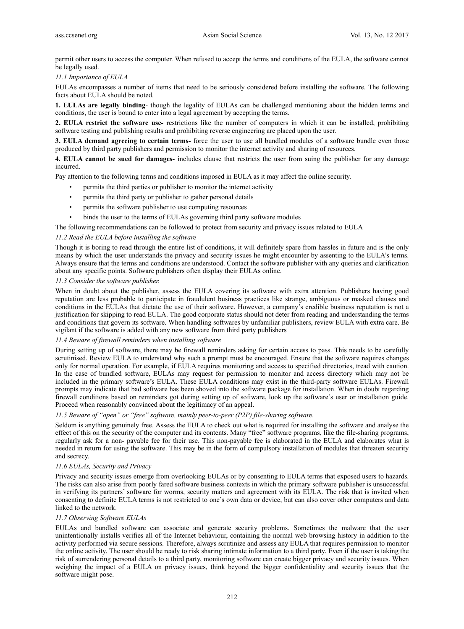permit other users to access the computer. When refused to accept the terms and conditions of the EULA, the software cannot be legally used.

#### *11.1 Importance of EULA*

EULAs encompasses a number of items that need to be seriously considered before installing the software. The following facts about EULA should be noted.

**1. EULAs are legally binding**- though the legality of EULAs can be challenged mentioning about the hidden terms and conditions, the user is bound to enter into a legal agreement by accepting the terms.

**2. EULA restrict the software use-** restrictions like the number of computers in which it can be installed, prohibiting software testing and publishing results and prohibiting reverse engineering are placed upon the user.

**3. EULA demand agreeing to certain terms-** force the user to use all bundled modules of a software bundle even those produced by third party publishers and permission to monitor the internet activity and sharing of resources.

**4. EULA cannot be sued for damages-** includes clause that restricts the user from suing the publisher for any damage incurred.

Pay attention to the following terms and conditions imposed in EULA as it may affect the online security.

- permits the third parties or publisher to monitor the internet activity
- permits the third party or publisher to gather personal details
- permits the software publisher to use computing resources
- binds the user to the terms of EULAs governing third party software modules

The following recommendations can be followed to protect from security and privacy issues related to EULA

# *11.2 Read the EULA before installing the software*

Though it is boring to read through the entire list of conditions, it will definitely spare from hassles in future and is the only means by which the user understands the privacy and security issues he might encounter by assenting to the EULA's terms. Always ensure that the terms and conditions are understood. Contact the software publisher with any queries and clarification about any specific points. Software publishers often display their EULAs online.

## *11.3 Consider the software publisher.*

When in doubt about the publisher, assess the EULA covering its software with extra attention. Publishers having good reputation are less probable to participate in fraudulent business practices like strange, ambiguous or masked clauses and conditions in the EULAs that dictate the use of their software. However, a company's credible business reputation is not a justification for skipping to read EULA. The good corporate status should not deter from reading and understanding the terms and conditions that govern its software. When handling softwares by unfamiliar publishers, review EULA with extra care. Be vigilant if the software is added with any new software from third party publishers

# *11.4 Beware of firewall reminders when installing software*

During setting up of software, there may be firewall reminders asking for certain access to pass. This needs to be carefully scrutinised. Review EULA to understand why such a prompt must be encouraged. Ensure that the software requires changes only for normal operation. For example, if EULA requires monitoring and access to specified directories, tread with caution. In the case of bundled software, EULAs may request for permission to monitor and access directory which may not be included in the primary software's EULA. These EULA conditions may exist in the third-party software EULAs. Firewall prompts may indicate that bad software has been shoved into the software package for installation. When in doubt regarding firewall conditions based on reminders got during setting up of software, look up the software's user or installation guide. Proceed when reasonably convinced about the legitimacy of an appeal.

#### *11.5 Beware of "open" or "free" software, mainly peer-to-peer (P2P) file-sharing software.*

Seldom is anything genuinely free. Assess the EULA to check out what is required for installing the software and analyse the effect of this on the security of the computer and its contents. Many "free" software programs, like the file-sharing programs, regularly ask for a non- payable fee for their use. This non-payable fee is elaborated in the EULA and elaborates what is needed in return for using the software. This may be in the form of compulsory installation of modules that threaten security and secrecy.

#### *11.6 EULAs, Security and Privacy*

Privacy and security issues emerge from overlooking EULAs or by consenting to EULA terms that exposed users to hazards. The risks can also arise from poorly fared software business contexts in which the primary software publisher is unsuccessful in verifying its partners' software for worms, security matters and agreement with its EULA. The risk that is invited when consenting to definite EULA terms is not restricted to one's own data or device, but can also cover other computers and data linked to the network.

#### *11.7 Observing Software EULAs*

EULAs and bundled software can associate and generate security problems. Sometimes the malware that the user unintentionally installs verifies all of the Internet behaviour, containing the normal web browsing history in addition to the activity performed via secure sessions. Therefore, always scrutinize and assess any EULA that requires permission to monitor the online activity. The user should be ready to risk sharing intimate information to a third party. Even if the user is taking the risk of surrendering personal details to a third party, monitoring software can create bigger privacy and security issues. When weighing the impact of a EULA on privacy issues, think beyond the bigger confidentiality and security issues that the software might pose.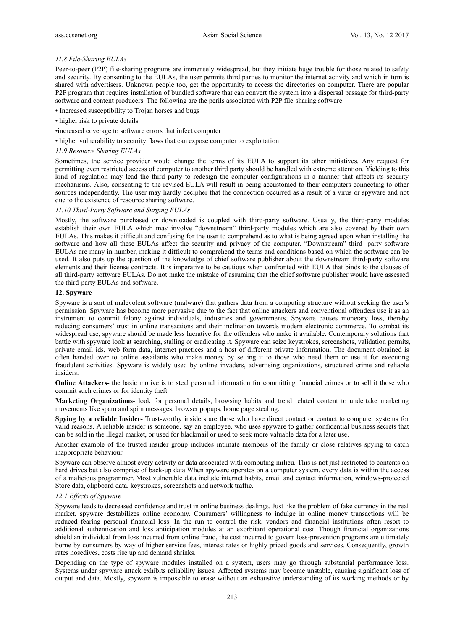#### *11.8 File-Sharing EULAs*

Peer-to-peer (P2P) file-sharing programs are immensely widespread, but they initiate huge trouble for those related to safety and security. By consenting to the EULAs, the user permits third parties to monitor the internet activity and which in turn is shared with advertisers. Unknown people too, get the opportunity to access the directories on computer. There are popular P2P program that requires installation of bundled software that can convert the system into a dispersal passage for third-party software and content producers. The following are the perils associated with P2P file-sharing software:

- Increased susceptibility to Trojan horses and bugs
- higher risk to private details
- •increased coverage to software errors that infect computer
- higher vulnerability to security flaws that can expose computer to exploitation

#### *11.9 Resource Sharing EULAs*

Sometimes, the service provider would change the terms of its EULA to support its other initiatives. Any request for permitting even restricted access of computer to another third party should be handled with extreme attention. Yielding to this kind of regulation may lead the third party to redesign the computer configurations in a manner that affects its security mechanisms. Also, consenting to the revised EULA will result in being accustomed to their computers connecting to other sources independently. The user may hardly decipher that the connection occurred as a result of a virus or spyware and not due to the existence of resource sharing software.

#### *11.10 Third-Party Software and Surging EULAs*

Mostly, the software purchased or downloaded is coupled with third-party software. Usually, the third-party modules establish their own EULA which may involve "downstream" third-party modules which are also covered by their own EULAs. This makes it difficult and confusing for the user to comprehend as to what is being agreed upon when installing the software and how all these EULAs affect the security and privacy of the computer. "Downstream" third- party software EULAs are many in number, making it difficult to comprehend the terms and conditions based on which the software can be used. It also puts up the question of the knowledge of chief software publisher about the downstream third-party software elements and their license contracts. It is imperative to be cautious when confronted with EULA that binds to the clauses of all third-party software EULAs. Do not make the mistake of assuming that the chief software publisher would have assessed the third-party EULAs and software.

## **12. Spyware**

Spyware is a sort of malevolent software (malware) that gathers data from a computing structure without seeking the user's permission. Spyware has become more pervasive due to the fact that online attackers and conventional offenders use it as an instrument to commit felony against individuals, industries and governments. Spyware causes monetary loss, thereby reducing consumers' trust in online transactions and their inclination towards modern electronic commerce. To combat its widespread use, spyware should be made less lucrative for the offenders who make it available. Contemporary solutions that battle with spyware look at searching, stalling or eradicating it. Spyware can seize keystrokes, screenshots, validation permits, private email ids, web form data, internet practices and a host of different private information. The document obtained is often handed over to online assailants who make money by selling it to those who need them or use it for executing fraudulent activities. Spyware is widely used by online invaders, advertising organizations, structured crime and reliable insiders.

**Online Attackers-** the basic motive is to steal personal information for committing financial crimes or to sell it those who commit such crimes or for identity theft

**Marketing Organizations**- look for personal details, browsing habits and trend related content to undertake marketing movements like spam and spim messages, browser popups, home page stealing.

**Spying by a reliable Insider-** Trust-worthy insiders are those who have direct contact or contact to computer systems for valid reasons. A reliable insider is someone, say an employee, who uses spyware to gather confidential business secrets that can be sold in the illegal market, or used for blackmail or used to seek more valuable data for a later use.

Another example of the trusted insider group includes intimate members of the family or close relatives spying to catch inappropriate behaviour.

Spyware can observe almost every activity or data associated with computing milieu. This is not just restricted to contents on hard drives but also comprise of back-up data.When spyware operates on a computer system, every data is within the access of a malicious programmer. Most vulnerable data include internet habits, email and contact information, windows-protected Store data, clipboard data, keystrokes, screenshots and network traffic.

#### *12.1 Effects of Spyware*

Spyware leads to decreased confidence and trust in online business dealings. Just like the problem of fake currency in the real market, spyware destabilizes online economy. Consumers' willingness to indulge in online money transactions will be reduced fearing personal financial loss. In the run to control the risk, vendors and financial institutions often resort to additional authentication and loss anticipation modules at an exorbitant operational cost. Though financial organizations shield an individual from loss incurred from online fraud, the cost incurred to govern loss-prevention programs are ultimately borne by consumers by way of higher service fees, interest rates or highly priced goods and services. Consequently, growth rates nosedives, costs rise up and demand shrinks.

Depending on the type of spyware modules installed on a system, users may go through substantial performance loss. Systems under spyware attack exhibits reliability issues. Affected systems may become unstable, causing significant loss of output and data. Mostly, spyware is impossible to erase without an exhaustive understanding of its working methods or by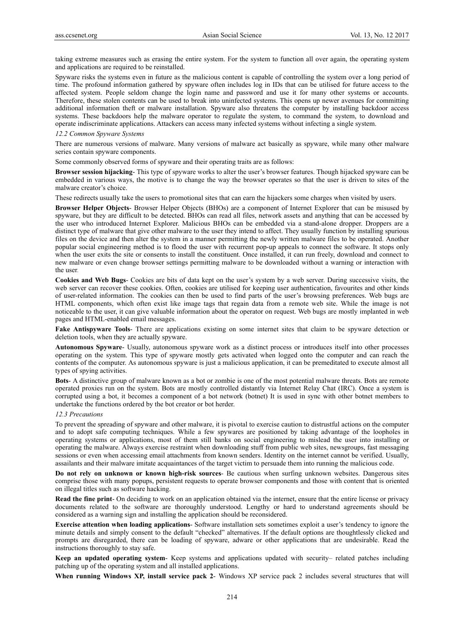taking extreme measures such as erasing the entire system. For the system to function all over again, the operating system and applications are required to be reinstalled.

Spyware risks the systems even in future as the malicious content is capable of controlling the system over a long period of time. The profound information gathered by spyware often includes log in IDs that can be utilised for future access to the affected system. People seldom change the login name and password and use it for many other systems or accounts. Therefore, these stolen contents can be used to break into uninfected systems. This opens up newer avenues for committing additional information theft or malware installation. Spyware also threatens the computer by installing backdoor access systems. These backdoors help the malware operator to regulate the system, to command the system, to download and operate indiscriminate applications. Attackers can access many infected systems without infecting a single system.

#### *12.2 Common Spyware Systems*

There are numerous versions of malware. Many versions of malware act basically as spyware, while many other malware series contain spyware components.

Some commonly observed forms of spyware and their operating traits are as follows:

**Browser session hijacking**- This type of spyware works to alter the user's browser features. Though hijacked spyware can be embedded in various ways, the motive is to change the way the browser operates so that the user is driven to sites of the malware creator's choice.

These redirects usually take the users to promotional sites that can earn the hijackers some charges when visited by users.

**Browser Helper Objects**- Browser Helper Objects (BHOs) are a component of Internet Explorer that can be misused by spyware, but they are difficult to be detected. BHOs can read all files, network assets and anything that can be accessed by the user who introduced Internet Explorer. Malicious BHOs can be embedded via a stand-alone dropper. Droppers are a distinct type of malware that give other malware to the user they intend to affect. They usually function by installing spurious files on the device and then alter the system in a manner permitting the newly written malware files to be operated. Another popular social engineering method is to flood the user with recurrent pop-up appeals to connect the software. It stops only when the user exits the site or consents to install the constituent. Once installed, it can run freely, download and connect to new malware or even change browser settings permitting malware to be downloaded without a warning or interaction with the user.

**Cookies and Web Bugs**- Cookies are bits of data kept on the user's system by a web server. During successive visits, the web server can recover these cookies. Often, cookies are utilised for keeping user authentication, favourites and other kinds of user-related information. The cookies can then be used to find parts of the user's browsing preferences. Web bugs are HTML components, which often exist like image tags that regain data from a remote web site. While the image is not noticeable to the user, it can give valuable information about the operator on request. Web bugs are mostly implanted in web pages and HTML-enabled email messages.

**Fake Antispyware Tools**- There are applications existing on some internet sites that claim to be spyware detection or deletion tools, when they are actually spyware.

**Autonomous Spyware**- Usually, autonomous spyware work as a distinct process or introduces itself into other processes operating on the system. This type of spyware mostly gets activated when logged onto the computer and can reach the contents of the computer. As autonomous spyware is just a malicious application, it can be premeditated to execute almost all types of spying activities.

**Bots**- A distinctive group of malware known as a bot or zombie is one of the most potential malware threats. Bots are remote operated proxies run on the system. Bots are mostly controlled distantly via Internet Relay Chat (IRC). Once a system is corrupted using a bot, it becomes a component of a bot network (botnet) It is used in sync with other botnet members to undertake the functions ordered by the bot creator or bot herder.

#### *12.3 Precautions*

To prevent the spreading of spyware and other malware, it is pivotal to exercise caution to distrustful actions on the computer and to adopt safe computing techniques. While a few spywares are positioned by taking advantage of the loopholes in operating systems or applications, most of them still banks on social engineering to mislead the user into installing or operating the malware. Always exercise restraint when downloading stuff from public web sites, newsgroups, fast messaging sessions or even when accessing email attachments from known senders. Identity on the internet cannot be verified. Usually, assailants and their malware imitate acquaintances of the target victim to persuade them into running the malicious code.

**Do not rely on unknown or known high-risk sources**- Be cautious when surfing unknown websites. Dangerous sites comprise those with many popups, persistent requests to operate browser components and those with content that is oriented on illegal titles such as software hacking.

**Read the fine print**- On deciding to work on an application obtained via the internet, ensure that the entire license or privacy documents related to the software are thoroughly understood. Lengthy or hard to understand agreements should be considered as a warning sign and installing the application should be reconsidered.

**Exercise attention when loading applications**- Software installation sets sometimes exploit a user's tendency to ignore the minute details and simply consent to the default "checked" alternatives. If the default options are thoughtlessly clicked and prompts are disregarded, there can be loading of spyware, adware or other applications that are undesirable. Read the instructions thoroughly to stay safe.

**Keep an updated operating system**- Keep systems and applications updated with security– related patches including patching up of the operating system and all installed applications.

**When running Windows XP, install service pack 2**- Windows XP service pack 2 includes several structures that will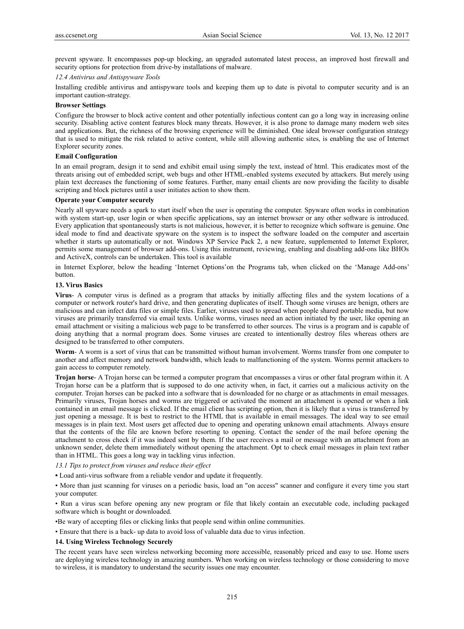prevent spyware. It encompasses pop-up blocking, an upgraded automated latest process, an improved host firewall and security options for protection from drive-by installations of malware.

#### *12.4 Antivirus and Antispyware Tools*

Installing credible antivirus and antispyware tools and keeping them up to date is pivotal to computer security and is an important caution-strategy.

### **Browser Settings**

Configure the browser to block active content and other potentially infectious content can go a long way in increasing online security. Disabling active content features block many threats. However, it is also prone to damage many modern web sites and applications. But, the richness of the browsing experience will be diminished. One ideal browser configuration strategy that is used to mitigate the risk related to active content, while still allowing authentic sites, is enabling the use of Internet Explorer security zones.

#### **Email Configuration**

In an email program, design it to send and exhibit email using simply the text, instead of html. This eradicates most of the threats arising out of embedded script, web bugs and other HTML-enabled systems executed by attackers. But merely using plain text decreases the functioning of some features. Further, many email clients are now providing the facility to disable scripting and block pictures until a user initiates action to show them.

# **Operate your Computer securely**

Nearly all spyware needs a spark to start itself when the user is operating the computer. Spyware often works in combination with system start-up, user login or when specific applications, say an internet browser or any other software is introduced. Every application that spontaneously starts is not malicious, however, it is better to recognize which software is genuine. One ideal mode to find and deactivate spyware on the system is to inspect the software loaded on the computer and ascertain whether it starts up automatically or not. Windows XP Service Pack 2, a new feature, supplemented to Internet Explorer, permits some management of browser add-ons. Using this instrument, reviewing, enabling and disabling add-ons like BHOs and ActiveX, controls can be undertaken. This tool is available

in Internet Explorer, below the heading 'Internet Options'on the Programs tab, when clicked on the 'Manage Add-ons' button.

#### **13. Virus Basics**

**Virus**- A computer virus is defined as a program that attacks by initially affecting files and the system locations of a computer or network router's hard drive, and then generating duplicates of itself. Though some viruses are benign, others are malicious and can infect data files or simple files. Earlier, viruses used to spread when people shared portable media, but now viruses are primarily transferred via email texts. Unlike worms, viruses need an action initiated by the user, like opening an email attachment or visiting a malicious web page to be transferred to other sources. The virus is a program and is capable of doing anything that a normal program does. Some viruses are created to intentionally destroy files whereas others are designed to be transferred to other computers.

**Worm**- A worm is a sort of virus that can be transmitted without human involvement. Worms transfer from one computer to another and affect memory and network bandwidth, which leads to malfunctioning of the system. Worms permit attackers to gain access to computer remotely.

**Trojan horse**- A Trojan horse can be termed a computer program that encompasses a virus or other fatal program within it. A Trojan horse can be a platform that is supposed to do one activity when, in fact, it carries out a malicious activity on the computer. Trojan horses can be packed into a software that is downloaded for no charge or as attachments in email messages. Primarily viruses, Trojan horses and worms are triggered or activated the moment an attachment is opened or when a link contained in an email message is clicked. If the email client has scripting option, then it is likely that a virus is transferred by just opening a message. It is best to restrict to the HTML that is available in email messages. The ideal way to see email messages is in plain text. Most users get affected due to opening and operating unknown email attachments. Always ensure that the contents of the file are known before resorting to opening. Contact the sender of the mail before opening the attachment to cross check if it was indeed sent by them. If the user receives a mail or message with an attachment from an unknown sender, delete them immediately without opening the attachment. Opt to check email messages in plain text rather than in HTML. This goes a long way in tackling virus infection.

#### *13.1 Tips to protect from viruses and reduce their effect*

**•** Load anti-virus software from a reliable vendor and update it frequently.

• More than just scanning for viruses on a periodic basis, load an "on access" scanner and configure it every time you start your computer.

• Run a virus scan before opening any new program or file that likely contain an executable code, including packaged software which is bought or downloaded.

•Be wary of accepting files or clicking links that people send within online communities.

• Ensure that there is a back- up data to avoid loss of valuable data due to virus infection.

#### **14. Using Wireless Technology Securely**

The recent years have seen wireless networking becoming more accessible, reasonably priced and easy to use. Home users are deploying wireless technology in amazing numbers. When working on wireless technology or those considering to move to wireless, it is mandatory to understand the security issues one may encounter.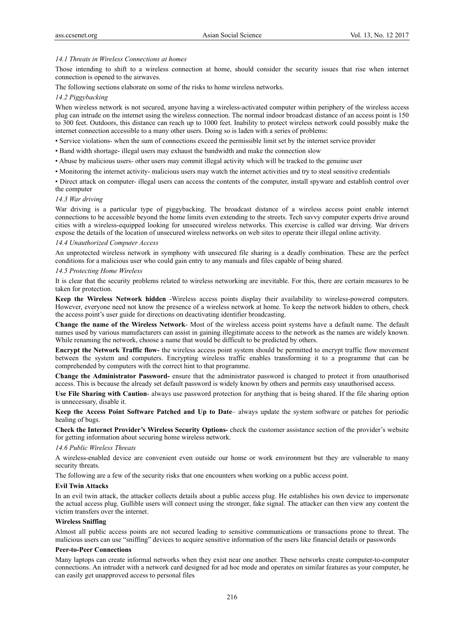#### *14.1 Threats in Wireless Connections at homes*

Those intending to shift to a wireless connection at home, should consider the security issues that rise when internet connection is opened to the airwaves.

The following sections elaborate on some of the risks to home wireless networks.

#### *14.2 Piggybacking*

When wireless network is not secured, anyone having a wireless-activated computer within periphery of the wireless access plug can intrude on the internet using the wireless connection. The normal indoor broadcast distance of an access point is 150 to 300 feet. Outdoors, this distance can reach up to 1000 feet. Inability to protect wireless network could possibly make the internet connection accessible to a many other users. Doing so is laden with a series of problems:

- Service violations- when the sum of connections exceed the permissible limit set by the internet service provider
- Band width shortage- illegal users may exhaust the bandwidth and make the connection slow
- Abuse by malicious users- other users may commit illegal activity which will be tracked to the genuine user
- Monitoring the internet activity- malicious users may watch the internet activities and try to steal sensitive credentials

• Direct attack on computer- illegal users can access the contents of the computer, install spyware and establish control over the computer

# *14.3 War driving*

War driving is a particular type of piggybacking. The broadcast distance of a wireless access point enable internet connections to be accessible beyond the home limits even extending to the streets. Tech savvy computer experts drive around cities with a wireless-equipped looking for unsecured wireless networks. This exercise is called war driving. War drivers expose the details of the location of unsecured wireless networks on web sites to operate their illegal online activity.

#### *14.4 Unauthorized Computer Access*

An unprotected wireless network in symphony with unsecured file sharing is a deadly combination. These are the perfect conditions for a malicious user who could gain entry to any manuals and files capable of being shared.

#### *14.5 Protecting Home Wireless*

It is clear that the security problems related to wireless networking are inevitable. For this, there are certain measures to be taken for protection.

**Keep the Wireless Network hidden** -Wireless access points display their availability to wireless-powered computers. However, everyone need not know the presence of a wireless network at home. To keep the network hidden to others, check the access point's user guide for directions on deactivating identifier broadcasting.

**Change the name of the Wireless Network**- Most of the wireless access point systems have a default name. The default names used by various manufacturers can assist in gaining illegitimate access to the network as the names are widely known. While renaming the network, choose a name that would be difficult to be predicted by others.

**Encrypt the Network Traffic flow-** the wireless access point system should be permitted to encrypt traffic flow movement between the system and computers. Encrypting wireless traffic enables transforming it to a programme that can be comprehended by computers with the correct hint to that programme.

**Change the Administrator Password-** ensure that the administrator password is changed to protect it from unauthorised access. This is because the already set default password is widely known by others and permits easy unauthorised access.

**Use File Sharing with Caution**- always use password protection for anything that is being shared. If the file sharing option is unnecessary, disable it.

**Keep the Access Point Software Patched and Up to Date**– always update the system software or patches for periodic healing of bugs.

**Check the Internet Provider's Wireless Security Options-** check the customer assistance section of the provider's website for getting information about securing home wireless network.

# *14.6 Public Wireless Threats*

A wireless-enabled device are convenient even outside our home or work environment but they are vulnerable to many security threats.

The following are a few of the security risks that one encounters when working on a public access point.

### **Evil Twin Attacks**

In an evil twin attack, the attacker collects details about a public access plug. He establishes his own device to impersonate the actual access plug. Gullible users will connect using the stronger, fake signal. The attacker can then view any content the victim transfers over the internet.

#### **Wireless Sniffing**

Almost all public access points are not secured leading to sensitive communications or transactions prone to threat. The malicious users can use "sniffing" devices to acquire sensitive information of the users like financial details or passwords

#### **Peer-to-Peer Connections**

Many laptops can create informal networks when they exist near one another. These networks create computer-to-computer connections. An intruder with a network card designed for ad hoc mode and operates on similar features as your computer, he can easily get unapproved access to personal files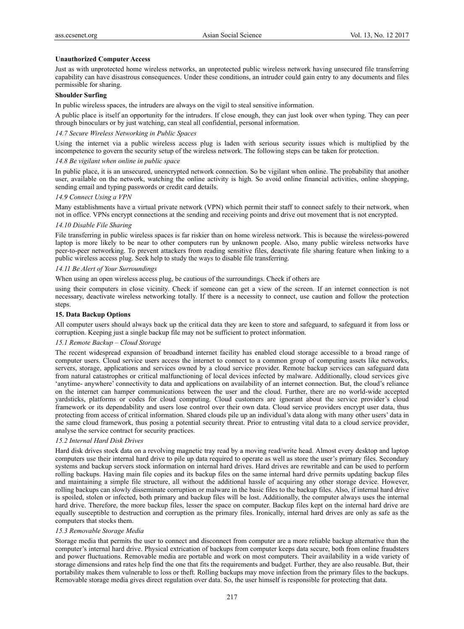#### **Unauthorized Computer Access**

Just as with unprotected home wireless networks, an unprotected public wireless network having unsecured file transferring capability can have disastrous consequences. Under these conditions, an intruder could gain entry to any documents and files permissible for sharing.

## **Shoulder Surfing**

In public wireless spaces, the intruders are always on the vigil to steal sensitive information.

A public place is itself an opportunity for the intruders. If close enough, they can just look over when typing. They can peer through binoculars or by just watching, can steal all confidential, personal information.

# *14.7 Secure Wireless Networking in Public Spaces*

Using the internet via a public wireless access plug is laden with serious security issues which is multiplied by the incompetence to govern the security setup of the wireless network. The following steps can be taken for protection.

#### *14.8 Be vigilant when online in public space*

In public place, it is an unsecured, unencrypted network connection. So be vigilant when online. The probability that another user, available on the network, watching the online activity is high. So avoid online financial activities, online shopping, sending email and typing passwords or credit card details.

#### *14.9 Connect Using a VPN*

Many establishments have a virtual private network (VPN) which permit their staff to connect safely to their network, when not in office. VPNs encrypt connections at the sending and receiving points and drive out movement that is not encrypted.

# *14.10 Disable File Sharing*

File transferring in public wireless spaces is far riskier than on home wireless network. This is because the wireless-powered laptop is more likely to be near to other computers run by unknown people. Also, many public wireless networks have peer-to-peer networking. To prevent attackers from reading sensitive files, deactivate file sharing feature when linking to a public wireless access plug. Seek help to study the ways to disable file transferring.

## *14.11 Be Alert of Your Surroundings*

When using an open wireless access plug, be cautious of the surroundings. Check if others are

using their computers in close vicinity. Check if someone can get a view of the screen. If an internet connection is not necessary, deactivate wireless networking totally. If there is a necessity to connect, use caution and follow the protection steps.

## **15. Data Backup Options**

All computer users should always back up the critical data they are keen to store and safeguard, to safeguard it from loss or corruption. Keeping just a single backup file may not be sufficient to protect information.

#### *15.1 Remote Backup – Cloud Storage*

The recent widespread expansion of broadband internet facility has enabled cloud storage accessible to a broad range of computer users. Cloud service users access the internet to connect to a common group of computing assets like networks, servers, storage, applications and services owned by a cloud service provider. Remote backup services can safeguard data from natural catastrophes or critical malfunctioning of local devices infected by malware. Additionally, cloud services give 'anytime- anywhere' connectivity to data and applications on availability of an internet connection. But, the cloud's reliance on the internet can hamper communications between the user and the cloud. Further, there are no world-wide accepted yardsticks, platforms or codes for cloud computing. Cloud customers are ignorant about the service provider's cloud framework or its dependability and users lose control over their own data. Cloud service providers encrypt user data, thus protecting from access of critical information. Shared clouds pile up an individual's data along with many other users' data in the same cloud framework, thus posing a potential security threat. Prior to entrusting vital data to a cloud service provider, analyse the service contract for security practices.

#### *15.2 Internal Hard Disk Drives*

Hard disk drives stock data on a revolving magnetic tray read by a moving read/write head. Almost every desktop and laptop computers use their internal hard drive to pile up data required to operate as well as store the user's primary files. Secondary systems and backup servers stock information on internal hard drives. Hard drives are rewritable and can be used to perform rolling backups. Having main file copies and its backup files on the same internal hard drive permits updating backup files and maintaining a simple file structure, all without the additional hassle of acquiring any other storage device. However, rolling backups can slowly disseminate corruption or malware in the basic files to the backup files. Also, if internal hard drive is spoiled, stolen or infected, both primary and backup files will be lost. Additionally, the computer always uses the internal hard drive. Therefore, the more backup files, lesser the space on computer. Backup files kept on the internal hard drive are equally susceptible to destruction and corruption as the primary files. Ironically, internal hard drives are only as safe as the computers that stocks them.

#### *15.3 Removable Storage Media*

Storage media that permits the user to connect and disconnect from computer are a more reliable backup alternative than the computer's internal hard drive. Physical extrication of backups from computer keeps data secure, both from online fraudsters and power fluctuations. Removable media are portable and work on most computers. Their availability in a wide variety of storage dimensions and rates help find the one that fits the requirements and budget. Further, they are also reusable. But, their portability makes them vulnerable to loss or theft. Rolling backups may move infection from the primary files to the backups. Removable storage media gives direct regulation over data. So, the user himself is responsible for protecting that data.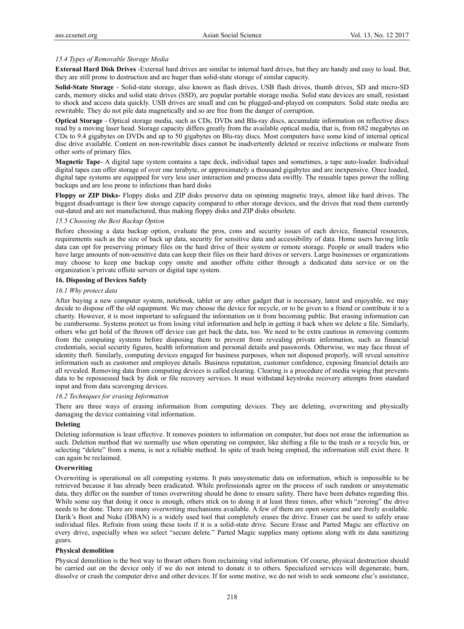#### *15.4 Types of Removable Storage Media*

**External Hard Disk Drives** -External hard drives are similar to internal hard drives, but they are handy and easy to load. But, they are still prone to destruction and are huger than solid-state storage of similar capacity.

**Solid-State Storage** - Solid-state storage, also known as flash drives, USB flash drives, thumb drives, SD and micro-SD cards, memory sticks and solid state drives (SSD), are popular portable storage media. Solid state devices are small, resistant to shock and access data quickly. USB drives are small and can be plugged-and-played on computers. Solid state media are rewritable. They do not pile data magnetically and so are free from the danger of corruption.

**Optical Storage** - Optical storage media, such as CDs, DVDs and Blu-ray discs, accumulate information on reflective discs read by a moving laser head. Storage capacity differs greatly from the available optical media, that is, from 682 megabytes on CDs to 9.4 gigabytes on DVDs and up to 50 gigabytes on Blu-ray discs. Most computers have some kind of internal optical disc drive available. Content on non-rewritable discs cannot be inadvertently deleted or receive infections or malware from other sorts of primary files.

**Magnetic Tape**- A digital tape system contains a tape deck, individual tapes and sometimes, a tape auto-loader. Individual digital tapes can offer storage of over one terabyte, or approximately a thousand gigabytes and are inexpensive. Once loaded, digital tape systems are equipped for very less user interaction and process data swiftly. The reusable tapes power the rolling backups and are less prone to infections than hard disks

**Floppy or ZIP Disks-** Floppy disks and ZIP disks preserve data on spinning magnetic trays, almost like hard drives. The biggest disadvantage is their low storage capacity compared to other storage devices, and the drives that read them currently out-dated and are not manufactured, thus making floppy disks and ZIP disks obsolete.

## *15.5 Choosing the Best Backup Option*

Before choosing a data backup option, evaluate the pros, cons and security issues of each device, financial resources, requirements such as the size of back up data, security for sensitive data and accessibility of data. Home users having little data can opt for preserving primary files on the hard drive of their system or remote storage. People or small traders who have large amounts of non-sensitive data can keep their files on their hard drives or servers. Large businesses or organizations may choose to keep one backup copy onsite and another offsite either through a dedicated data service or on the organization's private offsite servers or digital tape system.

## **16. Disposing of Devices Safely**

#### *16.1 Why protect data*

After buying a new computer system, notebook, tablet or any other gadget that is necessary, latest and enjoyable, we may decide to dispose off the old equipment. We may choose the device for recycle, or to be given to a friend or contribute it to a charity. However, it is most important to safeguard the information on it from becoming public. But erasing information can be cumbersome. Systems protect us from losing vital information and help in getting it back when we delete a file. Similarly, others who get hold of the thrown off device can get back the data, too. We need to be extra cautious in removing contents from the computing systems before disposing them to prevent from revealing private information, such as financial credentials, social security figures, health information and personal details and passwords. Otherwise, we may face threat of identity theft. Similarly, computing devices engaged for business purposes, when not disposed properly, will reveal sensitive information such as customer and employee details. Business reputation, customer confidence, exposing financial details are all revealed. Removing data from computing devices is called clearing. Clearing is a procedure of media wiping that prevents data to be repossessed back by disk or file recovery services. It must withstand keystroke recovery attempts from standard input and from data scavenging devices.

# *16.2 Techniques for erasing Information*

There are three ways of erasing information from computing devices. They are deleting, overwriting and physically damaging the device containing vital information.

#### **Deleting**

Deleting information is least effective. It removes pointers to information on computer, but does not erase the information as such. Deletion method that we normally use when operating on computer, like shifting a file to the trash or a recycle bin, or selecting "delete" from a menu, is not a reliable method. In spite of trash being emptied, the information still exist there. It can again be reclaimed.

# **Overwriting**

Overwriting is operational on all computing systems. It puts unsystematic data on information, which is impossible to be retrieved because it has already been eradicated. While professionals agree on the process of such random or unsystematic data, they differ on the number of times overwriting should be done to ensure safety. There have been debates regarding this. While some say that doing it once is enough, others stick on to doing it at least three times, after which "zeroing" the drive needs to be done. There are many overwriting mechanisms available. A few of them are open source and are freely available. Darik's Boot and Nuke (DBAN) is a widely used tool that completely erases the drive. Eraser can be used to safely erase individual files. Refrain from using these tools if it is a solid-state drive. Secure Erase and Parted Magic are effective on every drive, especially when we select "secure delete." Parted Magic supplies many options along with its data sanitizing gears.

#### **Physical demolition**

Physical demolition is the best way to thwart others from reclaiming vital information. Of course, physical destruction should be carried out on the device only if we do not intend to donate it to others. Specialized services will degenerate, burn, dissolve or crush the computer drive and other devices. If for some motive, we do not wish to seek someone else's assistance,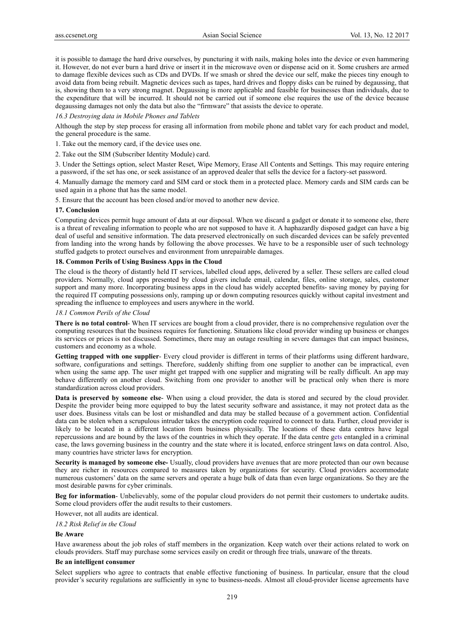it is possible to damage the hard drive ourselves, by puncturing it with nails, making holes into the device or even hammering it. However, do not ever burn a hard drive or insert it in the microwave oven or dispense acid on it. Some crushers are armed to damage flexible devices such as CDs and DVDs. If we smash or shred the device our self, make the pieces tiny enough to avoid data from being rebuilt. Magnetic devices such as tapes, hard drives and floppy disks can be ruined by degaussing, that is, showing them to a very strong magnet. Degaussing is more applicable and feasible for businesses than individuals, due to the expenditure that will be incurred. It should not be carried out if someone else requires the use of the device because degaussing damages not only the data but also the "firmware" that assists the device to operate.

#### *16.3 Destroying data in Mobile Phones and Tablets*

Although the step by step process for erasing all information from mobile phone and tablet vary for each product and model, the general procedure is the same.

1. Take out the memory card, if the device uses one.

2. Take out the SIM (Subscriber Identity Module) card.

3. Under the Settings option, select Master Reset, Wipe Memory, Erase All Contents and Settings. This may require entering a password, if the set has one, or seek assistance of an approved dealer that sells the device for a factory-set password.

4. Manually damage the memory card and SIM card or stock them in a protected place. Memory cards and SIM cards can be used again in a phone that has the same model.

5. Ensure that the account has been closed and/or moved to another new device.

# **17. Conclusion**

Computing devices permit huge amount of data at our disposal. When we discard a gadget or donate it to someone else, there is a threat of revealing information to people who are not supposed to have it. A haphazardly disposed gadget can have a big deal of useful and sensitive information. The data preserved electronically on such discarded devices can be safely prevented from landing into the wrong hands by following the above processes. We have to be a responsible user of such technology stuffed gadgets to protect ourselves and environment from unrepairable damages.

#### **18. Common Perils of Using Business Apps in the Cloud**

The cloud is the theory of distantly held IT services, labelled cloud apps, delivered by a seller. These sellers are called cloud providers. Normally, cloud apps presented by cloud givers include email, calendar, files, online storage, sales, customer support and many more. Incorporating business apps in the cloud has widely accepted benefits- saving money by paying for the required IT computing possessions only, ramping up or down computing resources quickly without capital investment and spreading the influence to employees and users anywhere in the world.

## *18.1 Common Perils of the Cloud*

**There is no total control**- When IT services are bought from a cloud provider, there is no comprehensive regulation over the computing resources that the business requires for functioning. Situations like cloud provider winding up business or changes its services or prices is not discussed. Sometimes, there may an outage resulting in severe damages that can impact business, customers and economy as a whole.

**Getting trapped with one supplier**- Every cloud provider is different in terms of their platforms using different hardware, software, configurations and settings. Therefore, suddenly shifting from one supplier to another can be impractical, even when using the same app. The user might get trapped with one supplier and migrating will be really difficult. An app may behave differently on another cloud. Switching from one provider to another will be practical only when there is more standardization across cloud providers.

**Data is preserved by someone else**- When using a cloud provider, the data is stored and secured by the cloud provider. Despite the provider being more equipped to buy the latest security software and assistance, it may not protect data as the user does. Business vitals can be lost or mishandled and data may be stalled because of a government action. Confidential data can be stolen when a scrupulous intruder takes the encryption code required to connect to data. Further, cloud provider is likely to be located in a different location from business physically. The locations of these data centres have legal repercussions and are bound by the laws of the countries in which they operate. If the data centre gets entangled in a criminal case, the laws governing business in the country and the state where it is located, enforce stringent laws on data control. Also, many countries have stricter laws for encryption.

**Security is managed by someone else-** Usually, cloud providers have avenues that are more protected than our own because they are richer in resources compared to measures taken by organizations for security. Cloud providers accommodate numerous customers' data on the same servers and operate a huge bulk of data than even large organizations. So they are the most desirable pawns for cyber criminals.

**Beg for information**- Unbelievably, some of the popular cloud providers do not permit their customers to undertake audits. Some cloud providers offer the audit results to their customers.

However, not all audits are identical.

*18.2 Risk Relief in the Cloud* 

## **Be Aware**

Have awareness about the job roles of staff members in the organization. Keep watch over their actions related to work on clouds providers. Staff may purchase some services easily on credit or through free trials, unaware of the threats.

### **Be an intelligent consumer**

Select suppliers who agree to contracts that enable effective functioning of business. In particular, ensure that the cloud provider's security regulations are sufficiently in sync to business-needs. Almost all cloud-provider license agreements have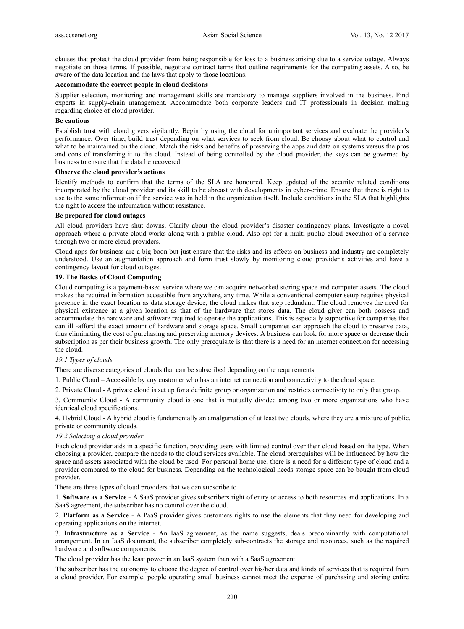clauses that protect the cloud provider from being responsible for loss to a business arising due to a service outage. Always negotiate on those terms. If possible, negotiate contract terms that outline requirements for the computing assets. Also, be aware of the data location and the laws that apply to those locations.

#### **Accommodate the correct people in cloud decisions**

Supplier selection, monitoring and management skills are mandatory to manage suppliers involved in the business. Find experts in supply-chain management. Accommodate both corporate leaders and IT professionals in decision making regarding choice of cloud provider.

#### **Be cautious**

Establish trust with cloud givers vigilantly. Begin by using the cloud for unimportant services and evaluate the provider's performance. Over time, build trust depending on what services to seek from cloud. Be choosy about what to control and what to be maintained on the cloud. Match the risks and benefits of preserving the apps and data on systems versus the pros and cons of transferring it to the cloud. Instead of being controlled by the cloud provider, the keys can be governed by business to ensure that the data be recovered.

#### **Observe the cloud provider's actions**

Identify methods to confirm that the terms of the SLA are honoured. Keep updated of the security related conditions incorporated by the cloud provider and its skill to be abreast with developments in cyber-crime. Ensure that there is right to use to the same information if the service was in held in the organization itself. Include conditions in the SLA that highlights the right to access the information without resistance.

## **Be prepared for cloud outages**

All cloud providers have shut downs. Clarify about the cloud provider's disaster contingency plans. Investigate a novel approach where a private cloud works along with a public cloud. Also opt for a multi-public cloud execution of a service through two or more cloud providers.

Cloud apps for business are a big boon but just ensure that the risks and its effects on business and industry are completely understood. Use an augmentation approach and form trust slowly by monitoring cloud provider's activities and have a contingency layout for cloud outages.

# **19. The Basics of Cloud Computing**

Cloud computing is a payment-based service where we can acquire networked storing space and computer assets. The cloud makes the required information accessible from anywhere, any time. While a conventional computer setup requires physical presence in the exact location as data storage device, the cloud makes that step redundant. The cloud removes the need for physical existence at a given location as that of the hardware that stores data. The cloud giver can both possess and accommodate the hardware and software required to operate the applications. This is especially supportive for companies that can ill -afford the exact amount of hardware and storage space. Small companies can approach the cloud to preserve data, thus eliminating the cost of purchasing and preserving memory devices. A business can look for more space or decrease their subscription as per their business growth. The only prerequisite is that there is a need for an internet connection for accessing the cloud.

#### *19.1 Types of clouds*

There are diverse categories of clouds that can be subscribed depending on the requirements.

1. Public Cloud – Accessible by any customer who has an internet connection and connectivity to the cloud space.

2. Private Cloud - A private cloud is set up for a definite group or organization and restricts connectivity to only that group.

3. Community Cloud - A community cloud is one that is mutually divided among two or more organizations who have identical cloud specifications.

4. Hybrid Cloud - A hybrid cloud is fundamentally an amalgamation of at least two clouds, where they are a mixture of public, private or community clouds.

#### *19.2 Selecting a cloud provider*

Each cloud provider aids in a specific function, providing users with limited control over their cloud based on the type. When choosing a provider, compare the needs to the cloud services available. The cloud prerequisites will be influenced by how the space and assets associated with the cloud be used. For personal home use, there is a need for a different type of cloud and a provider compared to the cloud for business. Depending on the technological needs storage space can be bought from cloud provider.

There are three types of cloud providers that we can subscribe to

1. **Software as a Service** - A SaaS provider gives subscribers right of entry or access to both resources and applications. In a SaaS agreement, the subscriber has no control over the cloud.

2. **Platform as a Service** - A PaaS provider gives customers rights to use the elements that they need for developing and operating applications on the internet.

3. **Infrastructure as a Service** - An IaaS agreement, as the name suggests, deals predominantly with computational arrangement. In an IaaS document, the subscriber completely sub-contracts the storage and resources, such as the required hardware and software components.

The cloud provider has the least power in an IaaS system than with a SaaS agreement.

The subscriber has the autonomy to choose the degree of control over his/her data and kinds of services that is required from a cloud provider. For example, people operating small business cannot meet the expense of purchasing and storing entire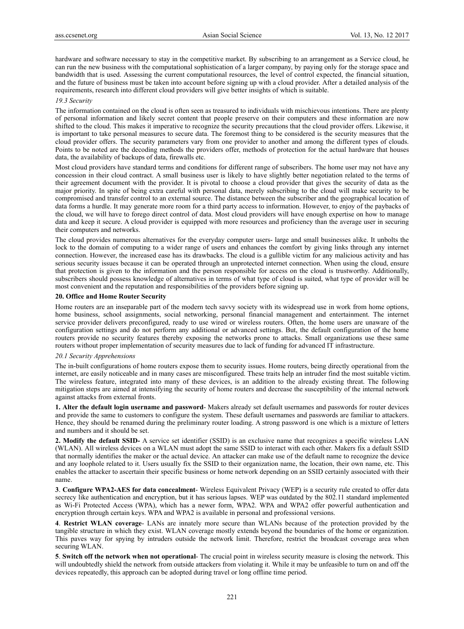hardware and software necessary to stay in the competitive market. By subscribing to an arrangement as a Service cloud, he can run the new business with the computational sophistication of a larger company, by paying only for the storage space and bandwidth that is used. Assessing the current computational resources, the level of control expected, the financial situation, and the future of business must be taken into account before signing up with a cloud provider. After a detailed analysis of the requirements, research into different cloud providers will give better insights of which is suitable.

#### *19.3 Security*

The information contained on the cloud is often seen as treasured to individuals with mischievous intentions. There are plenty of personal information and likely secret content that people preserve on their computers and these information are now shifted to the cloud. This makes it imperative to recognize the security precautions that the cloud provider offers. Likewise, it is important to take personal measures to secure data. The foremost thing to be considered is the security measures that the cloud provider offers. The security parameters vary from one provider to another and among the different types of clouds. Points to be noted are the decoding methods the providers offer, methods of protection for the actual hardware that houses data, the availability of backups of data, firewalls etc.

Most cloud providers have standard terms and conditions for different range of subscribers. The home user may not have any concession in their cloud contract. A small business user is likely to have slightly better negotiation related to the terms of their agreement document with the provider. It is pivotal to choose a cloud provider that gives the security of data as the major priority. In spite of being extra careful with personal data, merely subscribing to the cloud will make security to be compromised and transfer control to an external source. The distance between the subscriber and the geographical location of data forms a hurdle. It may generate more room for a third party access to information. However, to enjoy of the paybacks of the cloud, we will have to forego direct control of data. Most cloud providers will have enough expertise on how to manage data and keep it secure. A cloud provider is equipped with more resources and proficiency than the average user in securing their computers and networks.

The cloud provides numerous alternatives for the everyday computer users- large and small businesses alike. It unbolts the lock to the domain of computing to a wider range of users and enhances the comfort by giving links through any internet connection. However, the increased ease has its drawbacks. The cloud is a gullible victim for any malicious activity and has serious security issues because it can be operated through an unprotected internet connection. When using the cloud, ensure that protection is given to the information and the person responsible for access on the cloud is trustworthy. Additionally, subscribers should possess knowledge of alternatives in terms of what type of cloud is suited, what type of provider will be most convenient and the reputation and responsibilities of the providers before signing up.

#### **20. Office and Home Router Security**

Home routers are an inseparable part of the modern tech savvy society with its widespread use in work from home options, home business, school assignments, social networking, personal financial management and entertainment. The internet service provider delivers preconfigured, ready to use wired or wireless routers. Often, the home users are unaware of the configuration settings and do not perform any additional or advanced settings. But, the default configuration of the home routers provide no security features thereby exposing the networks prone to attacks. Small organizations use these same routers without proper implementation of security measures due to lack of funding for advanced IT infrastructure.

#### *20.1 Security Apprehensions*

The in-built configurations of home routers expose them to security issues. Home routers, being directly operational from the internet, are easily noticeable and in many cases are misconfigured. These traits help an intruder find the most suitable victim. The wireless feature, integrated into many of these devices, is an addition to the already existing threat. The following mitigation steps are aimed at intensifying the security of home routers and decrease the susceptibility of the internal network against attacks from external fronts.

**1. Alter the default login username and password**- Makers already set default usernames and passwords for router devices and provide the same to customers to configure the system. These default usernames and passwords are familiar to attackers. Hence, they should be renamed during the preliminary router loading. A strong password is one which is a mixture of letters and numbers and it should be set.

**2. Modify the default SSID-** A service set identifier (SSID) is an exclusive name that recognizes a specific wireless LAN (WLAN). All wireless devices on a WLAN must adopt the same SSID to interact with each other. Makers fix a default SSID that normally identifies the maker or the actual device. An attacker can make use of the default name to recognize the device and any loophole related to it. Users usually fix the SSID to their organization name, the location, their own name, etc. This enables the attacker to ascertain their specific business or home network depending on an SSID certainly associated with their name.

**3**. **Configure WPA2-AES for data concealment**- Wireless Equivalent Privacy (WEP) is a security rule created to offer data secrecy like authentication and encryption, but it has serious lapses. WEP was outdated by the 802.11 standard implemented as Wi-Fi Protected Access (WPA), which has a newer form, WPA2. WPA and WPA2 offer powerful authentication and encryption through certain keys. WPA and WPA2 is available in personal and professional versions.

**4**. **Restrict WLAN coverage**- LANs are innately more secure than WLANs because of the protection provided by the tangible structure in which they exist. WLAN coverage mostly extends beyond the boundaries of the home or organization. This paves way for spying by intruders outside the network limit. Therefore, restrict the broadcast coverage area when securing WLAN.

**5**. **Switch off the network when not operational**- The crucial point in wireless security measure is closing the network. This will undoubtedly shield the network from outside attackers from violating it. While it may be unfeasible to turn on and off the devices repeatedly, this approach can be adopted during travel or long offline time period.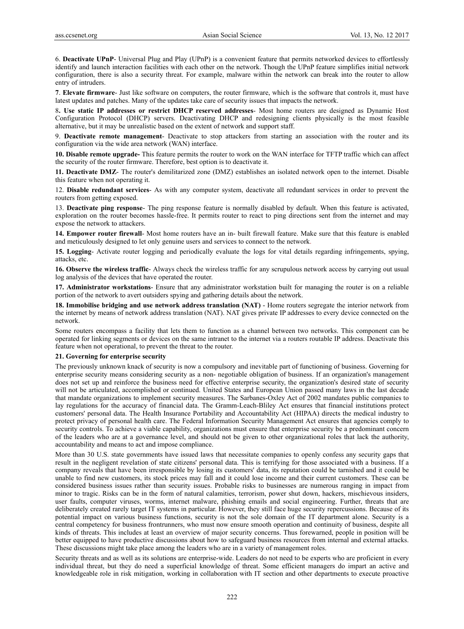6. **Deactivate UPnP**- Universal Plug and Play (UPnP) is a convenient feature that permits networked devices to effortlessly identify and launch interaction facilities with each other on the network. Though the UPnP feature simplifies initial network configuration, there is also a security threat. For example, malware within the network can break into the router to allow entry of intruders.

**7**. **Elevate firmware**- Just like software on computers, the router firmware, which is the software that controls it, must have latest updates and patches. Many of the updates take care of security issues that impacts the network.

8**. Use static IP addresses or restrict DHCP reserved addresses**- Most home routers are designed as Dynamic Host Configuration Protocol (DHCP) servers. Deactivating DHCP and redesigning clients physically is the most feasible alternative, but it may be unrealistic based on the extent of network and support staff.

9. **Deactivate remote management**- Deactivate to stop attackers from starting an association with the router and its configuration via the wide area network (WAN) interface.

**10. Disable remote upgrade-** This feature permits the router to work on the WAN interface for TFTP traffic which can affect the security of the router firmware. Therefore, best option is to deactivate it.

**11. Deactivate DMZ**- The router's demilitarized zone (DMZ) establishes an isolated network open to the internet. Disable this feature when not operating it.

12. **Disable redundant services**- As with any computer system, deactivate all redundant services in order to prevent the routers from getting exposed.

13. **Deactivate ping response**- The ping response feature is normally disabled by default. When this feature is activated, exploration on the router becomes hassle-free. It permits router to react to ping directions sent from the internet and may expose the network to attackers.

**14. Empower router firewall**- Most home routers have an in- built firewall feature. Make sure that this feature is enabled and meticulously designed to let only genuine users and services to connect to the network.

**15. Logging**- Activate router logging and periodically evaluate the logs for vital details regarding infringements, spying, attacks, etc.

**16. Observe the wireless traffic**- Always check the wireless traffic for any scrupulous network access by carrying out usual log analysis of the devices that have operated the router.

**17. Administrator workstations**- Ensure that any administrator workstation built for managing the router is on a reliable portion of the network to avert outsiders spying and gathering details about the network.

**18. Immobilise bridging and use network address translation (NAT)** - Home routers segregate the interior network from the internet by means of network address translation (NAT). NAT gives private IP addresses to every device connected on the network.

Some routers encompass a facility that lets them to function as a channel between two networks. This component can be operated for linking segments or devices on the same intranet to the internet via a routers routable IP address. Deactivate this feature when not operational, to prevent the threat to the router.

#### **21. Governing for enterprise security**

The previously unknown knack of security is now a compulsory and inevitable part of functioning of business. Governing for enterprise security means considering security as a non- negotiable obligation of business. If an organization's management does not set up and reinforce the business need for effective enterprise security, the organization's desired state of security will not be articulated, accomplished or continued. United States and European Union passed many laws in the last decade that mandate organizations to implement security measures. The Sarbanes-Oxley Act of 2002 mandates public companies to lay regulations for the accuracy of financial data. The Gramm-Leach-Bliley Act ensures that financial institutions protect customers' personal data. The Health Insurance Portability and Accountability Act (HIPAA) directs the medical industry to protect privacy of personal health care. The Federal Information Security Management Act ensures that agencies comply to security controls. To achieve a viable capability, organizations must ensure that enterprise security be a predominant concern of the leaders who are at a governance level, and should not be given to other organizational roles that lack the authority, accountability and means to act and impose compliance.

More than 30 U.S. state governments have issued laws that necessitate companies to openly confess any security gaps that result in the negligent revelation of state citizens' personal data. This is terrifying for those associated with a business. If a company reveals that have been irresponsible by losing its customers' data, its reputation could be tarnished and it could be unable to find new customers, its stock prices may fall and it could lose income and their current customers. These can be considered business issues rather than security issues. Probable risks to businesses are numerous ranging in impact from minor to tragic. Risks can be in the form of natural calamities, terrorism, power shut down, hackers, mischievous insiders, user faults, computer viruses, worms, internet malware, phishing emails and social engineering. Further, threats that are deliberately created rarely target IT systems in particular. However, they still face huge security repercussions. Because of its potential impact on various business functions, security is not the sole domain of the IT department alone. Security is a central competency for business frontrunners, who must now ensure smooth operation and continuity of business, despite all kinds of threats. This includes at least an overview of major security concerns. Thus forewarned, people in position will be better equipped to have productive discussions about how to safeguard business resources from internal and external attacks. These discussions might take place among the leaders who are in a variety of management roles.

Security threats and as well as its solutions are enterprise-wide. Leaders do not need to be experts who are proficient in every individual threat, but they do need a superficial knowledge of threat. Some efficient managers do impart an active and knowledgeable role in risk mitigation, working in collaboration with IT section and other departments to execute proactive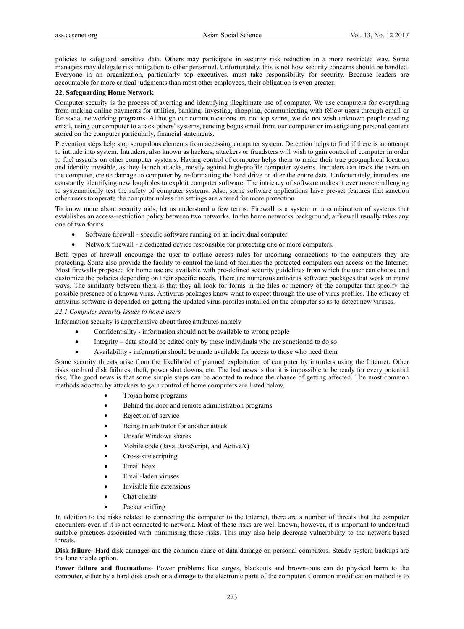policies to safeguard sensitive data. Others may participate in security risk reduction in a more restricted way. Some managers may delegate risk mitigation to other personnel. Unfortunately, this is not how security concerns should be handled. Everyone in an organization, particularly top executives, must take responsibility for security. Because leaders are accountable for more critical judgments than most other employees, their obligation is even greater.

#### **22. Safeguarding Home Network**

Computer security is the process of averting and identifying illegitimate use of computer. We use computers for everything from making online payments for utilities, banking, investing, shopping, communicating with fellow users through email or for social networking programs. Although our communications are not top secret, we do not wish unknown people reading email, using our computer to attack others' systems, sending bogus email from our computer or investigating personal content stored on the computer particularly, financial statements.

Prevention steps help stop scrupulous elements from accessing computer system. Detection helps to find if there is an attempt to intrude into system. Intruders, also known as hackers, attackers or fraudsters will wish to gain control of computer in order to fuel assaults on other computer systems. Having control of computer helps them to make their true geographical location and identity invisible, as they launch attacks, mostly against high-profile computer systems. Intruders can track the users on the computer, create damage to computer by re-formatting the hard drive or alter the entire data. Unfortunately, intruders are constantly identifying new loopholes to exploit computer software. The intricacy of software makes it ever more challenging to systematically test the safety of computer systems. Also, some software applications have pre-set features that sanction other users to operate the computer unless the settings are altered for more protection.

To know more about security aids, let us understand a few terms. Firewall is a system or a combination of systems that establishes an access-restriction policy between two networks. In the home networks background, a firewall usually takes any one of two forms

- Software firewall specific software running on an individual computer
- Network firewall a dedicated device responsible for protecting one or more computers.

Both types of firewall encourage the user to outline access rules for incoming connections to the computers they are protecting. Some also provide the facility to control the kind of facilities the protected computers can access on the Internet. Most firewalls proposed for home use are available with pre-defined security guidelines from which the user can choose and customize the policies depending on their specific needs. There are numerous antivirus software packages that work in many ways. The similarity between them is that they all look for forms in the files or memory of the computer that specify the possible presence of a known virus. Antivirus packages know what to expect through the use of virus profiles. The efficacy of antivirus software is depended on getting the updated virus profiles installed on the computer so as to detect new viruses.

#### *22.1 Computer security issues to home users*

Information security is apprehensive about three attributes namely

- Confidentiality information should not be available to wrong people
- Integrity data should be edited only by those individuals who are sanctioned to do so
- Availability information should be made available for access to those who need them

Some security threats arise from the likelihood of planned exploitation of computer by intruders using the Internet. Other risks are hard disk failures, theft, power shut downs, etc. The bad news is that it is impossible to be ready for every potential risk. The good news is that some simple steps can be adopted to reduce the chance of getting affected. The most common methods adopted by attackers to gain control of home computers are listed below.

- Trojan horse programs
- Behind the door and remote administration programs
- Rejection of service
- Being an arbitrator for another attack
- Unsafe Windows shares
- Mobile code (Java, JavaScript, and ActiveX)
- Cross-site scripting
- Email hoax
- Email-laden viruses
- Invisible file extensions
- Chat clients
- Packet sniffing

In addition to the risks related to connecting the computer to the Internet, there are a number of threats that the computer encounters even if it is not connected to network. Most of these risks are well known, however, it is important to understand suitable practices associated with minimising these risks. This may also help decrease vulnerability to the network-based threats.

**Disk failure**- Hard disk damages are the common cause of data damage on personal computers. Steady system backups are the lone viable option.

**Power failure and fluctuations**- Power problems like surges, blackouts and brown-outs can do physical harm to the computer, either by a hard disk crash or a damage to the electronic parts of the computer. Common modification method is to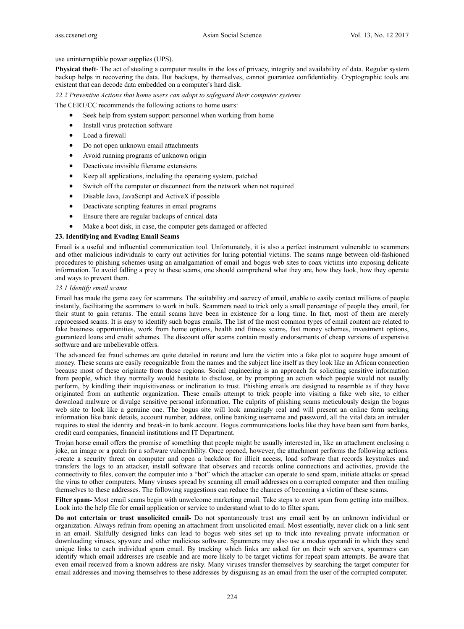#### use uninterruptible power supplies (UPS).

**Physical theft**- The act of stealing a computer results in the loss of privacy, integrity and availability of data. Regular system backup helps in recovering the data. But backups, by themselves, cannot guarantee confidentiality. Cryptographic tools are existent that can decode data embedded on a computer's hard disk.

*22.2 Preventive Actions that home users can adopt to safeguard their computer systems* 

The CERT/CC recommends the following actions to home users:

- Seek help from system support personnel when working from home
- Install virus protection software
- Load a firewall
- Do not open unknown email attachments
- Avoid running programs of unknown origin
- Deactivate invisible filename extensions
- Keep all applications, including the operating system, patched
- Switch off the computer or disconnect from the network when not required
- Disable Java, JavaScript and ActiveX if possible
- Deactivate scripting features in email programs
- Ensure there are regular backups of critical data
- Make a boot disk, in case, the computer gets damaged or affected

#### **23. Identifying and Evading Email Scams**

Email is a useful and influential communication tool. Unfortunately, it is also a perfect instrument vulnerable to scammers and other malicious individuals to carry out activities for luring potential victims. The scams range between old-fashioned procedures to phishing schemes using an amalgamation of email and bogus web sites to coax victims into exposing delicate information. To avoid falling a prey to these scams, one should comprehend what they are, how they look, how they operate and ways to prevent them.

#### *23.1 Identify email scams*

Email has made the game easy for scammers. The suitability and secrecy of email, enable to easily contact millions of people instantly, facilitating the scammers to work in bulk. Scammers need to trick only a small percentage of people they email, for their stunt to gain returns. The email scams have been in existence for a long time. In fact, most of them are merely reprocessed scams. It is easy to identify such bogus emails. The list of the most common types of email content are related to fake business opportunities, work from home options, health and fitness scams, fast money schemes, investment options, guaranteed loans and credit schemes. The discount offer scams contain mostly endorsements of cheap versions of expensive software and are unbelievable offers.

The advanced fee fraud schemes are quite detailed in nature and lure the victim into a fake plot to acquire huge amount of money. These scams are easily recognizable from the names and the subject line itself as they look like an African connection because most of these originate from those regions. Social engineering is an approach for soliciting sensitive information from people, which they normally would hesitate to disclose, or by prompting an action which people would not usually perform, by kindling their inquisitiveness or inclination to trust. Phishing emails are designed to resemble as if they have originated from an authentic organization. These emails attempt to trick people into visiting a fake web site, to either download malware or divulge sensitive personal information. The culprits of phishing scams meticulously design the bogus web site to look like a genuine one. The bogus site will look amazingly real and will present an online form seeking information like bank details, account number, address, online banking username and password, all the vital data an intruder requires to steal the identity and break-in to bank account. Bogus communications looks like they have been sent from banks, credit card companies, financial institutions and IT Department.

Trojan horse email offers the promise of something that people might be usually interested in, like an attachment enclosing a joke, an image or a patch for a software vulnerability. Once opened, however, the attachment performs the following actions. -create a security threat on computer and open a backdoor for illicit access, load software that records keystrokes and transfers the logs to an attacker, install software that observes and records online connections and activities, provide the connectivity to files, convert the computer into a "bot" which the attacker can operate to send spam, initiate attacks or spread the virus to other computers. Many viruses spread by scanning all email addresses on a corrupted computer and then mailing themselves to these addresses. The following suggestions can reduce the chances of becoming a victim of these scams.

**Filter spam-** Most email scams begin with unwelcome marketing email. Take steps to avert spam from getting into mailbox. Look into the help file for email application or service to understand what to do to filter spam.

**Do not entertain or trust unsolicited email-** Do not spontaneously trust any email sent by an unknown individual or organization. Always refrain from opening an attachment from unsolicited email. Most essentially, never click on a link sent in an email. Skilfully designed links can lead to bogus web sites set up to trick into revealing private information or downloading viruses, spyware and other malicious software. Spammers may also use a modus operandi in which they send unique links to each individual spam email. By tracking which links are asked for on their web servers, spammers can identify which email addresses are useable and are more likely to be target victims for repeat spam attempts. Be aware that even email received from a known address are risky. Many viruses transfer themselves by searching the target computer for email addresses and moving themselves to these addresses by disguising as an email from the user of the corrupted computer.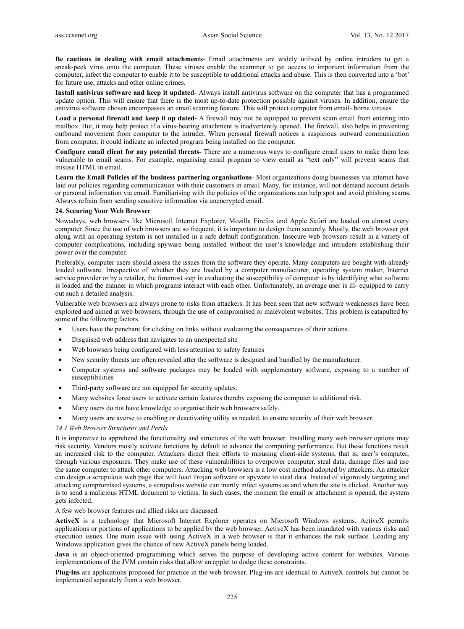**Be cautious in dealing with email attachments**- Email attachments are widely utilised by online intruders to get a sneak-peek virus onto the computer. These viruses enable the scammer to get access to important information from the computer, infect the computer to enable it to be susceptible to additional attacks and abuse. This is then converted into a 'bot' for future use, attacks and other online crimes.

**Install antivirus software and keep it updated**- Always install antivirus software on the computer that has a programmed update option. This will ensure that there is the most up-to-date protection possible against viruses. In addition, ensure the antivirus software chosen encompasses an email scanning feature. This will protect computer from email- borne viruses.

**Load a personal firewall and keep it up dated-** A firewall may not be equipped to prevent scam email from entering into mailbox. But, it may help protect if a virus-bearing attachment is inadvertently opened. The firewall, also helps in preventing outbound movement from computer to the intruder. When personal firewall notices a suspicious outward communication from computer, it could indicate an infected program being installed on the computer.

**Configure email client for any potential threats**- There are a numerous ways to configure email users to make them less vulnerable to email scams. For example, organising email program to view email as "text only" will prevent scams that misuse HTML in email.

**Learn the Email Policies of the business partnering organisations**- Most organizations doing businesses via internet have laid out policies regarding communication with their customers in email. Many, for instance, will not demand account details or personal information via email. Familiarising with the policies of the organizations can help spot and avoid phishing scams. Always refrain from sending sensitive information via unencrypted email.

# **24. Securing Your Web Browser**

Nowadays, web browsers like Microsoft Internet Explorer, Mozilla Firefox and Apple Safari are loaded on almost every computer. Since the use of web browsers are so frequent, it is important to design them securely. Mostly, the web browser got along with an operating system is not installed in a safe default configuration. Insecure web browsers result in a variety of computer complications, including spyware being installed without the user's knowledge and intruders establishing their power over the computer.

Preferably, computer users should assess the issues from the software they operate. Many computers are bought with already loaded software. Irrespective of whether they are loaded by a computer manufacturer, operating system maker, Internet service provider or by a retailer, the foremost step in evaluating the susceptibility of computer is by identifying what software is loaded and the manner in which programs interact with each other. Unfortunately, an average user is ill- equipped to carry out such a detailed analysis.

Vulnerable web browsers are always prone to risks from attackers. It has been seen that new software weaknesses have been exploited and aimed at web browsers, through the use of compromised or malevolent websites. This problem is catapulted by some of the following factors.

- Users have the penchant for clicking on links without evaluating the consequences of their actions.
- Disguised web address that navigates to an unexpected site
- Web browsers being configured with less attention to safety features
- New security threats are often revealed after the software is designed and bundled by the manufacturer.
- Computer systems and software packages may be loaded with supplementary software, exposing to a number of susceptibilities
- Third-party software are not equipped for security updates.
- Many websites force users to activate certain features thereby exposing the computer to additional risk.
- Many users do not have knowledge to organise their web browsers safely.
- Many users are averse to enabling or deactivating utility as needed, to ensure security of their web browser.

#### *24.1 Web Browser Structures and Perils*

It is imperative to apprehend the functionality and structures of the web browser. Installing many web browser options may risk security. Vendors mostly activate functions by default to advance the computing performance. But these functions result an increased risk to the computer. Attackers direct their efforts to misusing client-side systems, that is, user's computer, through various exposures. They make use of these vulnerabilities to overpower computer, steal data, damage files and use the same computer to attack other computers. Attacking web browsers is a low cost method adopted by attackers. An attacker can design a scrupulous web page that will load Trojan software or spyware to steal data. Instead of vigorously targeting and attacking compromised systems, a scrupulous website can inertly infect systems as and when the site is clicked. Another way is to send a malicious HTML document to victims. In such cases, the moment the email or attachment is opened, the system gets infected.

A few web browser features and allied risks are discussed.

**ActiveX** is a technology that Microsoft Internet Explorer operates on Microsoft Windows systems. ActiveX permits applications or portions of applications to be applied by the web browser. ActiveX has been inundated with various risks and execution issues. One main issue with using ActiveX in a web browser is that it enhances the risk surface. Loading any Windows application gives the chance of new ActiveX panels being loaded.

**Java** is an object-oriented programming which serves the purpose of developing active content for websites. Various implementations of the JVM contain risks that allow an applet to dodge these constraints.

**Plug-ins** are applications proposed for practice in the web browser. Plug-ins are identical to ActiveX controls but cannot be implemented separately from a web browser.